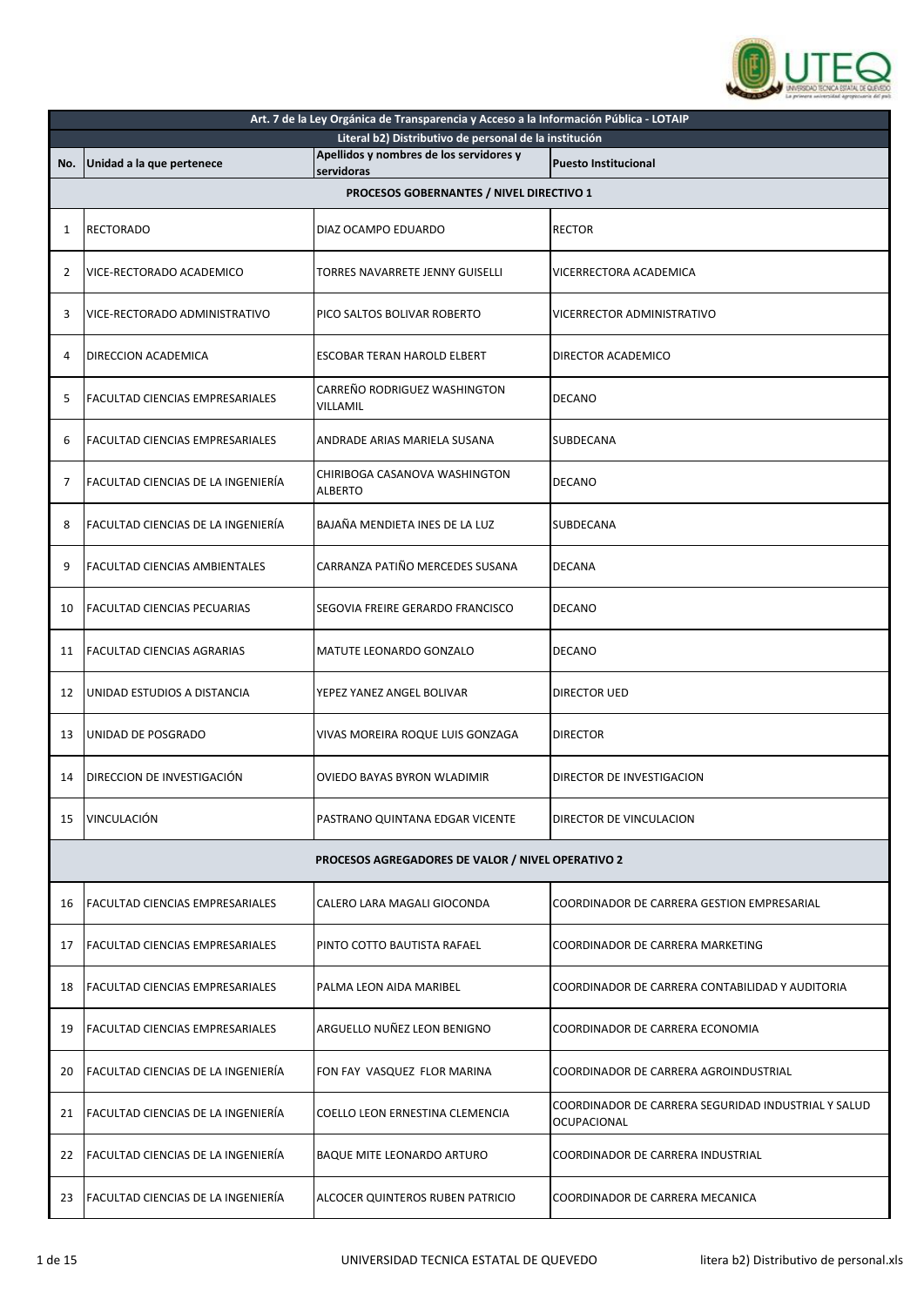

|     | Art. 7 de la Ley Orgánica de Transparencia y Acceso a la Información Pública - LOTAIP |                                                        |                                                                    |  |
|-----|---------------------------------------------------------------------------------------|--------------------------------------------------------|--------------------------------------------------------------------|--|
|     |                                                                                       | Literal b2) Distributivo de personal de la institución |                                                                    |  |
| No. | Unidad a la que pertenece                                                             | Apellidos y nombres de los servidores y<br>servidoras  | <b>Puesto Institucional</b>                                        |  |
|     |                                                                                       | PROCESOS GOBERNANTES / NIVEL DIRECTIVO 1               |                                                                    |  |
|     |                                                                                       |                                                        |                                                                    |  |
| 1   | <b>RECTORADO</b>                                                                      | DIAZ OCAMPO EDUARDO                                    | <b>RECTOR</b>                                                      |  |
| 2   | VICE-RECTORADO ACADEMICO                                                              | TORRES NAVARRETE JENNY GUISELLI                        | VICERRECTORA ACADEMICA                                             |  |
| 3   | VICE-RECTORADO ADMINISTRATIVO                                                         | PICO SALTOS BOLIVAR ROBERTO                            | VICERRECTOR ADMINISTRATIVO                                         |  |
| 4   | DIRECCION ACADEMICA                                                                   | ESCOBAR TERAN HAROLD ELBERT                            | DIRECTOR ACADEMICO                                                 |  |
| 5   | <b>FACULTAD CIENCIAS EMPRESARIALES</b>                                                | CARREÑO RODRIGUEZ WASHINGTON<br>VILLAMIL               | <b>DECANO</b>                                                      |  |
| 6   | <b>FACULTAD CIENCIAS EMPRESARIALES</b>                                                | ANDRADE ARIAS MARIELA SUSANA                           | SUBDECANA                                                          |  |
| 7   | FACULTAD CIENCIAS DE LA INGENIERÍA                                                    | CHIRIBOGA CASANOVA WASHINGTON<br><b>ALBERTO</b>        | <b>DECANO</b>                                                      |  |
| 8   | FACULTAD CIENCIAS DE LA INGENIERÍA                                                    | BAJAÑA MENDIETA INES DE LA LUZ                         | SUBDECANA                                                          |  |
| 9   | FACULTAD CIENCIAS AMBIENTALES                                                         | CARRANZA PATIÑO MERCEDES SUSANA                        | <b>DECANA</b>                                                      |  |
| 10  | <b>FACULTAD CIENCIAS PECUARIAS</b>                                                    | SEGOVIA FREIRE GERARDO FRANCISCO                       | <b>DECANO</b>                                                      |  |
| 11  | <b>FACULTAD CIENCIAS AGRARIAS</b>                                                     | MATUTE LEONARDO GONZALO                                | <b>DECANO</b>                                                      |  |
| 12  | UNIDAD ESTUDIOS A DISTANCIA                                                           | YEPEZ YANEZ ANGEL BOLIVAR                              | DIRECTOR UED                                                       |  |
| 13  | UNIDAD DE POSGRADO                                                                    | VIVAS MOREIRA ROQUE LUIS GONZAGA                       | <b>DIRECTOR</b>                                                    |  |
| 14  | DIRECCION DE INVESTIGACIÓN                                                            | OVIEDO BAYAS BYRON WLADIMIR                            | DIRECTOR DE INVESTIGACION                                          |  |
| 15  | VINCULACIÓN                                                                           | PASTRANO QUINTANA EDGAR VICENTE                        | DIRECTOR DE VINCULACION                                            |  |
|     |                                                                                       | PROCESOS AGREGADORES DE VALOR / NIVEL OPERATIVO 2      |                                                                    |  |
| 16  | <b>FACULTAD CIENCIAS EMPRESARIALES</b>                                                | CALERO LARA MAGALI GIOCONDA                            | COORDINADOR DE CARRERA GESTION EMPRESARIAL                         |  |
| 17  | <b>FACULTAD CIENCIAS EMPRESARIALES</b>                                                | PINTO COTTO BAUTISTA RAFAEL                            | COORDINADOR DE CARRERA MARKETING                                   |  |
| 18  | FACULTAD CIENCIAS EMPRESARIALES                                                       | PALMA LEON AIDA MARIBEL                                | COORDINADOR DE CARRERA CONTABILIDAD Y AUDITORIA                    |  |
| 19  | FACULTAD CIENCIAS EMPRESARIALES                                                       | ARGUELLO NUÑEZ LEON BENIGNO                            | COORDINADOR DE CARRERA ECONOMIA                                    |  |
| 20  | FACULTAD CIENCIAS DE LA INGENIERÍA                                                    | FON FAY VASQUEZ FLOR MARINA                            | COORDINADOR DE CARRERA AGROINDUSTRIAL                              |  |
| 21  | <b>FACULTAD CIENCIAS DE LA INGENIERÍA</b>                                             | COELLO LEON ERNESTINA CLEMENCIA                        | COORDINADOR DE CARRERA SEGURIDAD INDUSTRIAL Y SALUD<br>OCUPACIONAL |  |
| 22  | FACULTAD CIENCIAS DE LA INGENIERÍA                                                    | BAQUE MITE LEONARDO ARTURO                             | COORDINADOR DE CARRERA INDUSTRIAL                                  |  |
| 23  | <b>FACULTAD CIENCIAS DE LA INGENIERÍA</b>                                             | ALCOCER QUINTEROS RUBEN PATRICIO                       | COORDINADOR DE CARRERA MECANICA                                    |  |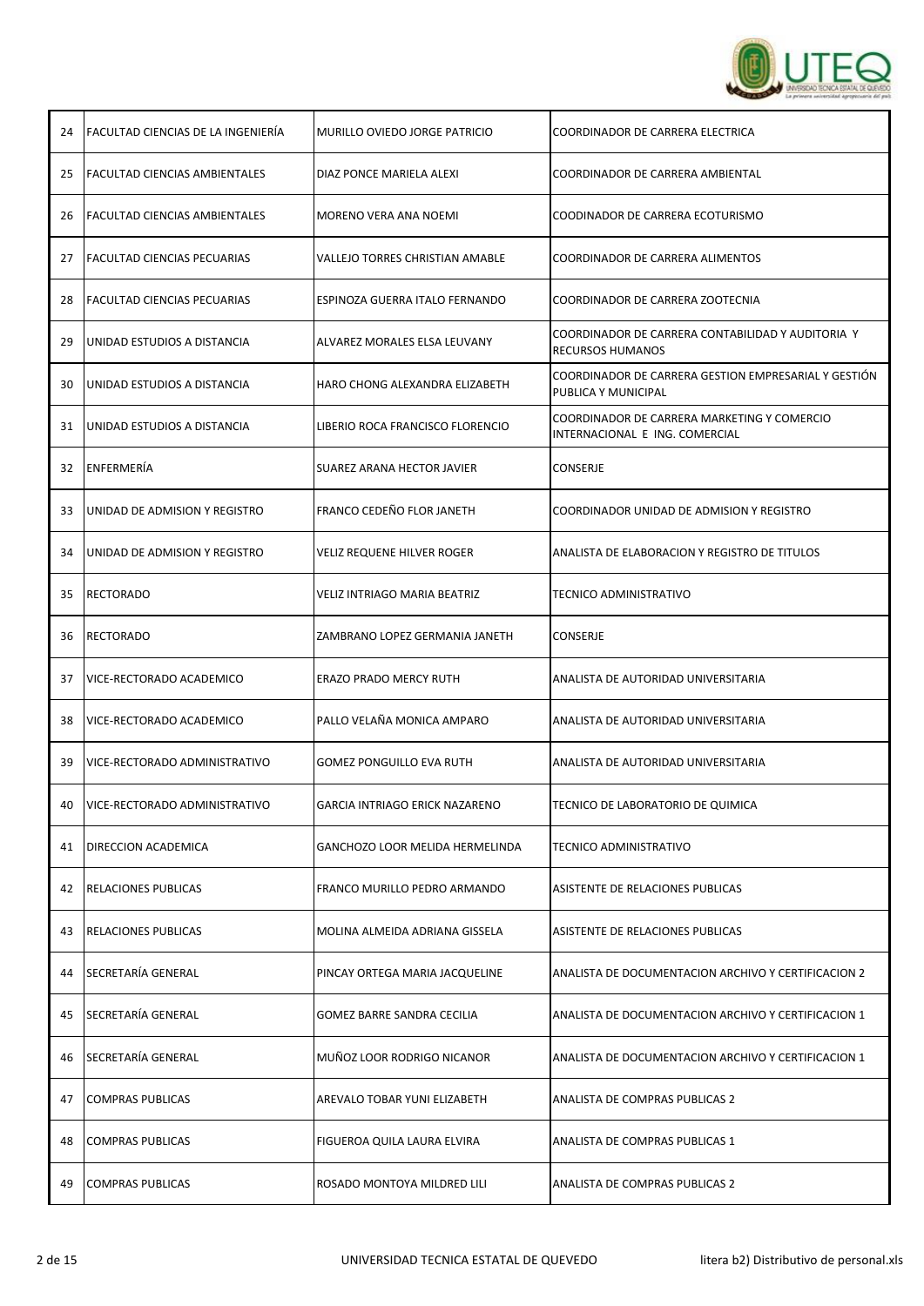

| 24 | <b>FACULTAD CIENCIAS DE LA INGENIERÍA</b> | MURILLO OVIEDO JORGE PATRICIO          | COORDINADOR DE CARRERA ELECTRICA                                              |
|----|-------------------------------------------|----------------------------------------|-------------------------------------------------------------------------------|
| 25 | <b>FACULTAD CIENCIAS AMBIENTALES</b>      | DIAZ PONCE MARIELA ALEXI               | COORDINADOR DE CARRERA AMBIENTAL                                              |
| 26 | <b>FACULTAD CIENCIAS AMBIENTALES</b>      | MORENO VERA ANA NOEMI                  | COODINADOR DE CARRERA ECOTURISMO                                              |
| 27 | <b>FACULTAD CIENCIAS PECUARIAS</b>        | VALLEJO TORRES CHRISTIAN AMABLE        | COORDINADOR DE CARRERA ALIMENTOS                                              |
| 28 | <b>FACULTAD CIENCIAS PECUARIAS</b>        | ESPINOZA GUERRA ITALO FERNANDO         | COORDINADOR DE CARRERA ZOOTECNIA                                              |
| 29 | UNIDAD ESTUDIOS A DISTANCIA               | ALVAREZ MORALES ELSA LEUVANY           | COORDINADOR DE CARRERA CONTABILIDAD Y AUDITORIA Y<br>RECURSOS HUMANOS         |
| 30 | UNIDAD ESTUDIOS A DISTANCIA               | HARO CHONG ALEXANDRA ELIZABETH         | COORDINADOR DE CARRERA GESTION EMPRESARIAL Y GESTIÓN<br>PUBLICA Y MUNICIPAL   |
| 31 | UNIDAD ESTUDIOS A DISTANCIA               | LIBERIO ROCA FRANCISCO FLORENCIO       | COORDINADOR DE CARRERA MARKETING Y COMERCIO<br>INTERNACIONAL E ING. COMERCIAL |
| 32 | ENFERMERÍA                                | SUAREZ ARANA HECTOR JAVIER             | CONSERJE                                                                      |
| 33 | UNIDAD DE ADMISION Y REGISTRO             | FRANCO CEDEÑO FLOR JANETH              | COORDINADOR UNIDAD DE ADMISION Y REGISTRO                                     |
| 34 | UNIDAD DE ADMISION Y REGISTRO             | VELIZ REQUENE HILVER ROGER             | ANALISTA DE ELABORACION Y REGISTRO DE TITULOS                                 |
| 35 | <b>RECTORADO</b>                          | VELIZ INTRIAGO MARIA BEATRIZ           | TECNICO ADMINISTRATIVO                                                        |
| 36 | <b>RECTORADO</b>                          | ZAMBRANO LOPEZ GERMANIA JANETH         | CONSERJE                                                                      |
| 37 | VICE-RECTORADO ACADEMICO                  | ERAZO PRADO MERCY RUTH                 | ANALISTA DE AUTORIDAD UNIVERSITARIA                                           |
| 38 | VICE-RECTORADO ACADEMICO                  | PALLO VELAÑA MONICA AMPARO             | ANALISTA DE AUTORIDAD UNIVERSITARIA                                           |
| 39 | VICE-RECTORADO ADMINISTRATIVO             | GOMEZ PONGUILLO EVA RUTH               | ANALISTA DE AUTORIDAD UNIVERSITARIA                                           |
| 40 | <b>VICE-RECTORADO ADMINISTRATIVO</b>      | GARCIA INTRIAGO ERICK NAZARENO         | TECNICO DE LABORATORIO DE QUIMICA                                             |
| 41 | DIRECCION ACADEMICA                       | <b>GANCHOZO LOOR MELIDA HERMELINDA</b> | TECNICO ADMINISTRATIVO                                                        |
| 42 | <b>RELACIONES PUBLICAS</b>                | FRANCO MURILLO PEDRO ARMANDO           | ASISTENTE DE RELACIONES PUBLICAS                                              |
| 43 | <b>RELACIONES PUBLICAS</b>                | MOLINA ALMEIDA ADRIANA GISSELA         | ASISTENTE DE RELACIONES PUBLICAS                                              |
| 44 | <b>SECRETARÍA GENERAL</b>                 | PINCAY ORTEGA MARIA JACQUELINE         | ANALISTA DE DOCUMENTACION ARCHIVO Y CERTIFICACION 2                           |
| 45 | <b>SECRETARÍA GENERAL</b>                 | <b>GOMEZ BARRE SANDRA CECILIA</b>      | ANALISTA DE DOCUMENTACION ARCHIVO Y CERTIFICACION 1                           |
| 46 | SECRETARÍA GENERAL                        | MUÑOZ LOOR RODRIGO NICANOR             | ANALISTA DE DOCUMENTACION ARCHIVO Y CERTIFICACION 1                           |
| 47 | <b>COMPRAS PUBLICAS</b>                   | AREVALO TOBAR YUNI ELIZABETH           | ANALISTA DE COMPRAS PUBLICAS 2                                                |
| 48 | <b>COMPRAS PUBLICAS</b>                   | FIGUEROA QUILA LAURA ELVIRA            | ANALISTA DE COMPRAS PUBLICAS 1                                                |
| 49 | <b>COMPRAS PUBLICAS</b>                   | ROSADO MONTOYA MILDRED LILI            | ANALISTA DE COMPRAS PUBLICAS 2                                                |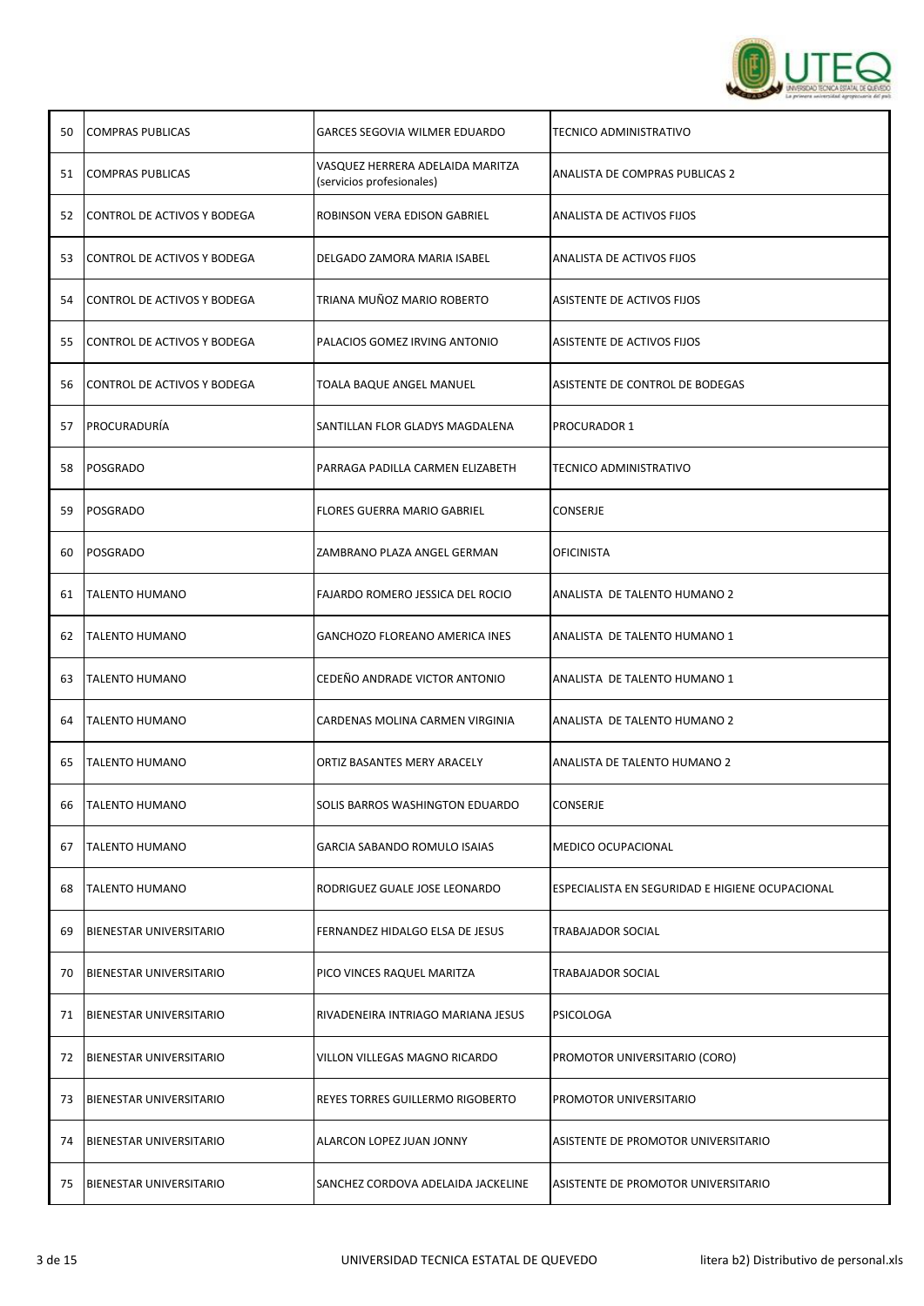

| 50 | <b>COMPRAS PUBLICAS</b>        | GARCES SEGOVIA WILMER EDUARDO                                 | TECNICO ADMINISTRATIVO                          |
|----|--------------------------------|---------------------------------------------------------------|-------------------------------------------------|
| 51 | <b>COMPRAS PUBLICAS</b>        | VASQUEZ HERRERA ADELAIDA MARITZA<br>(servicios profesionales) | ANALISTA DE COMPRAS PUBLICAS 2                  |
| 52 | CONTROL DE ACTIVOS Y BODEGA    | ROBINSON VERA EDISON GABRIEL                                  | ANALISTA DE ACTIVOS FIJOS                       |
| 53 | CONTROL DE ACTIVOS Y BODEGA    | DELGADO ZAMORA MARIA ISABEL                                   | ANALISTA DE ACTIVOS FIJOS                       |
| 54 | CONTROL DE ACTIVOS Y BODEGA    | TRIANA MUÑOZ MARIO ROBERTO                                    | ASISTENTE DE ACTIVOS FIJOS                      |
| 55 | CONTROL DE ACTIVOS Y BODEGA    | PALACIOS GOMEZ IRVING ANTONIO                                 | ASISTENTE DE ACTIVOS FIJOS                      |
| 56 | CONTROL DE ACTIVOS Y BODEGA    | TOALA BAQUE ANGEL MANUEL                                      | ASISTENTE DE CONTROL DE BODEGAS                 |
| 57 | PROCURADURIA                   | SANTILLAN FLOR GLADYS MAGDALENA                               | <b>PROCURADOR 1</b>                             |
| 58 | POSGRADO                       | PARRAGA PADILLA CARMEN ELIZABETH                              | TECNICO ADMINISTRATIVO                          |
| 59 | POSGRADO                       | <b>FLORES GUERRA MARIO GABRIEL</b>                            | CONSERJE                                        |
| 60 | POSGRADO                       | ZAMBRANO PLAZA ANGEL GERMAN                                   | <b>OFICINISTA</b>                               |
| 61 | <b>TALENTO HUMANO</b>          | FAJARDO ROMERO JESSICA DEL ROCIO                              | ANALISTA DE TALENTO HUMANO 2                    |
| 62 | <b>TALENTO HUMANO</b>          | <b>GANCHOZO FLOREANO AMERICA INES</b>                         | ANALISTA DE TALENTO HUMANO 1                    |
| 63 | <b>TALENTO HUMANO</b>          | CEDEÑO ANDRADE VICTOR ANTONIO                                 | ANALISTA DE TALENTO HUMANO 1                    |
| 64 | <b>TALENTO HUMANO</b>          | CARDENAS MOLINA CARMEN VIRGINIA                               | ANALISTA DE TALENTO HUMANO 2                    |
| 65 | <b>TALENTO HUMANO</b>          | ORTIZ BASANTES MERY ARACELY                                   | <b>ANALISTA DE TALENTO HUMANO 2</b>             |
| 66 | <b>TALENTO HUMANO</b>          | SOLIS BARROS WASHINGTON EDUARDO                               | CONSERJE                                        |
| 67 | <b>TALENTO HUMANO</b>          | <b>GARCIA SABANDO ROMULO ISAIAS</b>                           | <b>MEDICO OCUPACIONAL</b>                       |
| 68 | <b>TALENTO HUMANO</b>          | RODRIGUEZ GUALE JOSE LEONARDO                                 | ESPECIALISTA EN SEGURIDAD E HIGIENE OCUPACIONAL |
| 69 | <b>BIENESTAR UNIVERSITARIO</b> | FERNANDEZ HIDALGO ELSA DE JESUS                               | TRABAJADOR SOCIAL                               |
| 70 | <b>BIENESTAR UNIVERSITARIO</b> | PICO VINCES RAQUEL MARITZA                                    | <b>TRABAJADOR SOCIAL</b>                        |
| 71 | BIENESTAR UNIVERSITARIO        | RIVADENEIRA INTRIAGO MARIANA JESUS                            | PSICOLOGA                                       |
| 72 | <b>BIENESTAR UNIVERSITARIO</b> | VILLON VILLEGAS MAGNO RICARDO                                 | PROMOTOR UNIVERSITARIO (CORO)                   |
| 73 | <b>BIENESTAR UNIVERSITARIO</b> | REYES TORRES GUILLERMO RIGOBERTO                              | PROMOTOR UNIVERSITARIO                          |
| 74 | <b>BIENESTAR UNIVERSITARIO</b> | ALARCON LOPEZ JUAN JONNY                                      | ASISTENTE DE PROMOTOR UNIVERSITARIO             |
| 75 | <b>BIENESTAR UNIVERSITARIO</b> | SANCHEZ CORDOVA ADELAIDA JACKELINE                            | ASISTENTE DE PROMOTOR UNIVERSITARIO             |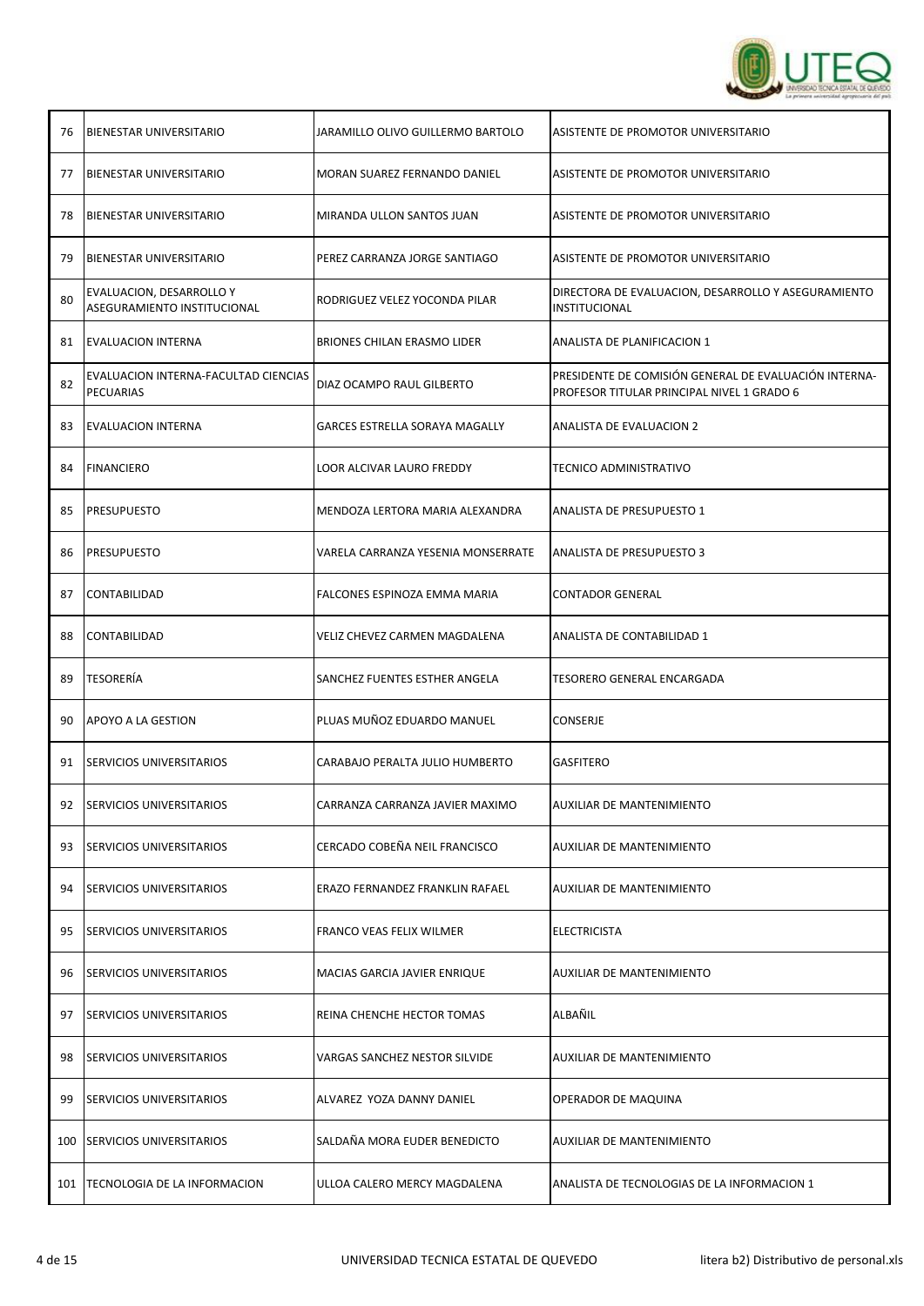

| 76  | <b>BIENESTAR UNIVERSITARIO</b>                          | JARAMILLO OLIVO GUILLERMO BARTOLO  | ASISTENTE DE PROMOTOR UNIVERSITARIO                                                                 |
|-----|---------------------------------------------------------|------------------------------------|-----------------------------------------------------------------------------------------------------|
| 77  | <b>BIENESTAR UNIVERSITARIO</b>                          | MORAN SUAREZ FERNANDO DANIEL       | ASISTENTE DE PROMOTOR UNIVERSITARIO                                                                 |
| 78  | <b>BIENESTAR UNIVERSITARIO</b>                          | MIRANDA ULLON SANTOS JUAN          | ASISTENTE DE PROMOTOR UNIVERSITARIO                                                                 |
| 79  | <b>BIENESTAR UNIVERSITARIO</b>                          | PEREZ CARRANZA JORGE SANTIAGO      | ASISTENTE DE PROMOTOR UNIVERSITARIO                                                                 |
| 80  | EVALUACION, DESARROLLO Y<br>ASEGURAMIENTO INSTITUCIONAL | RODRIGUEZ VELEZ YOCONDA PILAR      | DIRECTORA DE EVALUACION, DESARROLLO Y ASEGURAMIENTO<br>INSTITUCIONAL                                |
| 81  | <b>EVALUACION INTERNA</b>                               | <b>BRIONES CHILAN ERASMO LIDER</b> | ANALISTA DE PLANIFICACION 1                                                                         |
| 82  | EVALUACION INTERNA-FACULTAD CIENCIAS<br>PECUARIAS       | DIAZ OCAMPO RAUL GILBERTO          | PRESIDENTE DE COMISIÓN GENERAL DE EVALUACIÓN INTERNA-<br>PROFESOR TITULAR PRINCIPAL NIVEL 1 GRADO 6 |
| 83  | <b>EVALUACION INTERNA</b>                               | GARCES ESTRELLA SORAYA MAGALLY     | <b>ANALISTA DE EVALUACION 2</b>                                                                     |
| 84  | <b>FINANCIERO</b>                                       | LOOR ALCIVAR LAURO FREDDY          | TECNICO ADMINISTRATIVO                                                                              |
| 85  | <b>PRESUPUESTO</b>                                      | MENDOZA LERTORA MARIA ALEXANDRA    | ANALISTA DE PRESUPUESTO 1                                                                           |
| 86  | <b>PRESUPUESTO</b>                                      | VARELA CARRANZA YESENIA MONSERRATE | ANALISTA DE PRESUPUESTO 3                                                                           |
| 87  | CONTABILIDAD                                            | FALCONES ESPINOZA EMMA MARIA       | CONTADOR GENERAL                                                                                    |
| 88  | <b>CONTABILIDAD</b>                                     | VELIZ CHEVEZ CARMEN MAGDALENA      | ANALISTA DE CONTABILIDAD 1                                                                          |
| 89  | <b>TESORERÍA</b>                                        | SANCHEZ FUENTES ESTHER ANGELA      | TESORERO GENERAL ENCARGADA                                                                          |
| 90  | APOYO A LA GESTION                                      | PLUAS MUÑOZ EDUARDO MANUEL         | CONSERJE                                                                                            |
| 91  | <b>SERVICIOS UNIVERSITARIOS</b>                         | CARABAJO PERALTA JULIO HUMBERTO    | <b>GASFITERO</b>                                                                                    |
| 92  | <b>SERVICIOS UNIVERSITARIOS</b>                         | CARRANZA CARRANZA JAVIER MAXIMO    | AUXILIAR DE MANTENIMIENTO                                                                           |
| 93  | <b>ISERVICIOS UNIVERSITARIOS</b>                        | CERCADO COBEÑA NEIL FRANCISCO      | <b>AUXILIAR DE MANTENIMIENTO</b>                                                                    |
| 94  | <b>SERVICIOS UNIVERSITARIOS</b>                         | ERAZO FERNANDEZ FRANKLIN RAFAEL    | <b>AUXILIAR DE MANTENIMIENTO</b>                                                                    |
| 95  | <b>SERVICIOS UNIVERSITARIOS</b>                         | FRANCO VEAS FELIX WILMER           | <b>ELECTRICISTA</b>                                                                                 |
| 96  | <b>SERVICIOS UNIVERSITARIOS</b>                         | MACIAS GARCIA JAVIER ENRIQUE       | <b>AUXILIAR DE MANTENIMIENTO</b>                                                                    |
| 97  | <b>SERVICIOS UNIVERSITARIOS</b>                         | REINA CHENCHE HECTOR TOMAS         | ALBAÑIL                                                                                             |
| 98  | <b>SERVICIOS UNIVERSITARIOS</b>                         | VARGAS SANCHEZ NESTOR SILVIDE      | AUXILIAR DE MANTENIMIENTO                                                                           |
| 99  | <b>SERVICIOS UNIVERSITARIOS</b>                         | ALVAREZ YOZA DANNY DANIEL          | OPERADOR DE MAQUINA                                                                                 |
| 100 | <b>SERVICIOS UNIVERSITARIOS</b>                         | SALDAÑA MORA EUDER BENEDICTO       | AUXILIAR DE MANTENIMIENTO                                                                           |
| 101 | TECNOLOGIA DE LA INFORMACION                            | ULLOA CALERO MERCY MAGDALENA       | ANALISTA DE TECNOLOGIAS DE LA INFORMACION 1                                                         |

Т

┬

┬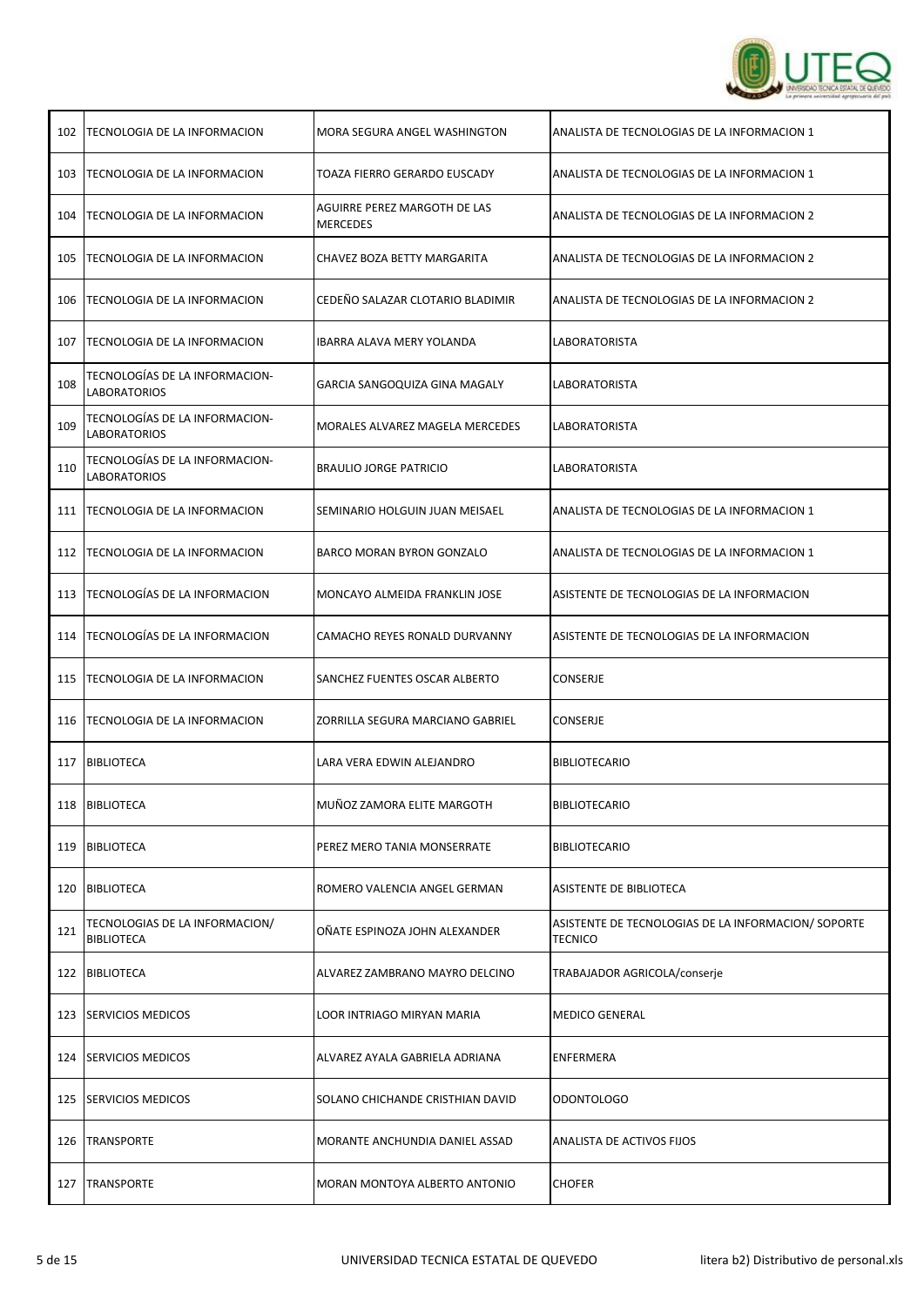

| 102 | TECNOLOGIA DE LA INFORMACION                          | MORA SEGURA ANGEL WASHINGTON                    | ANALISTA DE TECNOLOGIAS DE LA INFORMACION 1                          |
|-----|-------------------------------------------------------|-------------------------------------------------|----------------------------------------------------------------------|
| 103 | TECNOLOGIA DE LA INFORMACION                          | TOAZA FIERRO GERARDO EUSCADY                    | ANALISTA DE TECNOLOGIAS DE LA INFORMACION 1                          |
| 104 | TECNOLOGIA DE LA INFORMACION                          | AGUIRRE PEREZ MARGOTH DE LAS<br><b>MERCEDES</b> | ANALISTA DE TECNOLOGIAS DE LA INFORMACION 2                          |
| 105 | <b>TECNOLOGIA DE LA INFORMACION</b>                   | CHAVEZ BOZA BETTY MARGARITA                     | ANALISTA DE TECNOLOGIAS DE LA INFORMACION 2                          |
| 106 | <b>TECNOLOGIA DE LA INFORMACION</b>                   | CEDEÑO SALAZAR CLOTARIO BLADIMIR                | ANALISTA DE TECNOLOGIAS DE LA INFORMACION 2                          |
| 107 | TECNOLOGIA DE LA INFORMACION                          | IBARRA ALAVA MERY YOLANDA                       | LABORATORISTA                                                        |
| 108 | TECNOLOGÍAS DE LA INFORMACION-<br><b>LABORATORIOS</b> | GARCIA SANGOQUIZA GINA MAGALY                   | LABORATORISTA                                                        |
| 109 | TECNOLOGÍAS DE LA INFORMACION-<br><b>LABORATORIOS</b> | MORALES ALVAREZ MAGELA MERCEDES                 | LABORATORISTA                                                        |
| 110 | TECNOLOGÍAS DE LA INFORMACION-<br>LABORATORIOS        | <b>BRAULIO JORGE PATRICIO</b>                   | LABORATORISTA                                                        |
| 111 | TECNOLOGIA DE LA INFORMACION                          | SEMINARIO HOLGUIN JUAN MEISAEL                  | ANALISTA DE TECNOLOGIAS DE LA INFORMACION 1                          |
| 112 | <b>TECNOLOGIA DE LA INFORMACION</b>                   | <b>BARCO MORAN BYRON GONZALO</b>                | ANALISTA DE TECNOLOGIAS DE LA INFORMACION 1                          |
| 113 | TECNOLOGÍAS DE LA INFORMACION                         | MONCAYO ALMEIDA FRANKLIN JOSE                   | ASISTENTE DE TECNOLOGIAS DE LA INFORMACION                           |
| 114 | TECNOLOGÍAS DE LA INFORMACION                         | CAMACHO REYES RONALD DURVANNY                   | ASISTENTE DE TECNOLOGIAS DE LA INFORMACION                           |
| 115 | TECNOLOGIA DE LA INFORMACION                          | SANCHEZ FUENTES OSCAR ALBERTO                   | CONSERJE                                                             |
| 116 | TECNOLOGIA DE LA INFORMACION                          | ZORRILLA SEGURA MARCIANO GABRIEL                | CONSERJE                                                             |
| 117 | <b>BIBLIOTECA</b>                                     | LARA VERA EDWIN ALEJANDRO                       | <b>BIBLIOTECARIO</b>                                                 |
|     | 118 BIBLIOTECA                                        | MUÑOZ ZAMORA ELITE MARGOTH                      | <b>BIBLIOTECARIO</b>                                                 |
| 119 | <b>BIBLIOTECA</b>                                     | PEREZ MERO TANIA MONSERRATE                     | <b>BIBLIOTECARIO</b>                                                 |
| 120 | <b>BIBLIOTECA</b>                                     | ROMERO VALENCIA ANGEL GERMAN                    | ASISTENTE DE BIBLIOTECA                                              |
| 121 | TECNOLOGIAS DE LA INFORMACION/<br><b>BIBLIOTECA</b>   | OÑATE ESPINOZA JOHN ALEXANDER                   | ASISTENTE DE TECNOLOGIAS DE LA INFORMACION/SOPORTE<br><b>TECNICO</b> |
| 122 | <b>BIBLIOTECA</b>                                     | ALVAREZ ZAMBRANO MAYRO DELCINO                  | TRABAJADOR AGRICOLA/conserje                                         |
| 123 | <b>SERVICIOS MEDICOS</b>                              | LOOR INTRIAGO MIRYAN MARIA                      | <b>MEDICO GENERAL</b>                                                |
| 124 | <b>SERVICIOS MEDICOS</b>                              | ALVAREZ AYALA GABRIELA ADRIANA                  | ENFERMERA                                                            |
| 125 | <b>SERVICIOS MEDICOS</b>                              | SOLANO CHICHANDE CRISTHIAN DAVID                | <b>ODONTOLOGO</b>                                                    |
| 126 | <b>TRANSPORTE</b>                                     | MORANTE ANCHUNDIA DANIEL ASSAD                  | ANALISTA DE ACTIVOS FIJOS                                            |
| 127 | <b>TRANSPORTE</b>                                     | MORAN MONTOYA ALBERTO ANTONIO                   | <b>CHOFER</b>                                                        |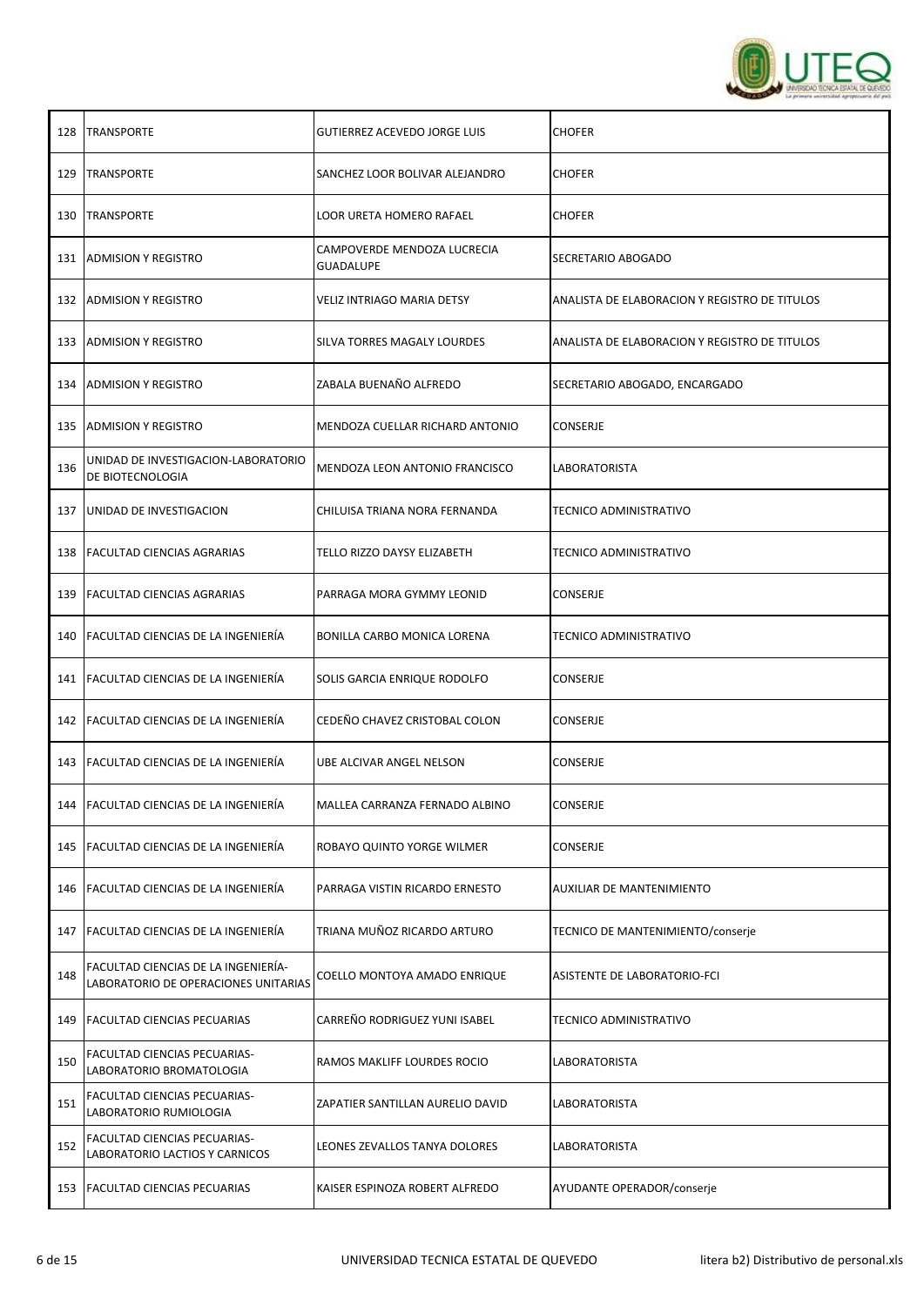

| 128 | <b>TRANSPORTE</b>                                                           | <b>GUTIERREZ ACEVEDO JORGE LUIS</b>             | <b>CHOFER</b>                                 |
|-----|-----------------------------------------------------------------------------|-------------------------------------------------|-----------------------------------------------|
| 129 | <b>TRANSPORTE</b>                                                           | SANCHEZ LOOR BOLIVAR ALEJANDRO                  | <b>CHOFER</b>                                 |
|     | 130 TRANSPORTE                                                              | LOOR URETA HOMERO RAFAEL                        | <b>CHOFER</b>                                 |
|     | 131 ADMISION Y REGISTRO                                                     | CAMPOVERDE MENDOZA LUCRECIA<br><b>GUADALUPE</b> | SECRETARIO ABOGADO                            |
|     | 132 ADMISION Y REGISTRO                                                     | VELIZ INTRIAGO MARIA DETSY                      | ANALISTA DE ELABORACION Y REGISTRO DE TITULOS |
| 133 | <b>ADMISION Y REGISTRO</b>                                                  | SILVA TORRES MAGALY LOURDES                     | ANALISTA DE ELABORACION Y REGISTRO DE TITULOS |
|     | 134 ADMISION Y REGISTRO                                                     | ZABALA BUENAÑO ALFREDO                          | SECRETARIO ABOGADO, ENCARGADO                 |
| 135 | <b>ADMISION Y REGISTRO</b>                                                  | MENDOZA CUELLAR RICHARD ANTONIO                 | CONSERJE                                      |
| 136 | UNIDAD DE INVESTIGACION-LABORATORIO<br>DE BIOTECNOLOGIA                     | MENDOZA LEON ANTONIO FRANCISCO                  | LABORATORISTA                                 |
| 137 | UNIDAD DE INVESTIGACION                                                     | CHILUISA TRIANA NORA FERNANDA                   | TECNICO ADMINISTRATIVO                        |
|     | 138 FACULTAD CIENCIAS AGRARIAS                                              | TELLO RIZZO DAYSY ELIZABETH                     | TECNICO ADMINISTRATIVO                        |
| 139 | <b>FACULTAD CIENCIAS AGRARIAS</b>                                           | PARRAGA MORA GYMMY LEONID                       | CONSERJE                                      |
|     | 140 FACULTAD CIENCIAS DE LA INGENIERÍA                                      | BONILLA CARBO MONICA LORENA                     | TECNICO ADMINISTRATIVO                        |
| 141 | <b>FACULTAD CIENCIAS DE LA INGENIERÍA</b>                                   | SOLIS GARCIA ENRIQUE RODOLFO                    | CONSERJE                                      |
|     | 142   FACULTAD CIENCIAS DE LA INGENIERÍA                                    | CEDEÑO CHAVEZ CRISTOBAL COLON                   | CONSERJE                                      |
|     | 143   FACULTAD CIENCIAS DE LA INGENIERÍA                                    | UBE ALCIVAR ANGEL NELSON                        | CONSERJE                                      |
|     | 144 FACULTAD CIENCIAS DE LA INGENIERIA                                      | MALLEA CARRANZA FERNADO ALBINO                  | <b>CONSERJE</b>                               |
| 145 | <b>FACULTAD CIENCIAS DE LA INGENIERÍA</b>                                   | ROBAYO QUINTO YORGE WILMER                      | <b>CONSERJE</b>                               |
| 146 | FACULTAD CIENCIAS DE LA INGENIERÍA                                          | PARRAGA VISTIN RICARDO ERNESTO                  | <b>AUXILIAR DE MANTENIMIENTO</b>              |
| 147 | FACULTAD CIENCIAS DE LA INGENIERÍA                                          | TRIANA MUÑOZ RICARDO ARTURO                     | TECNICO DE MANTENIMIENTO/conserje             |
| 148 | FACULTAD CIENCIAS DE LA INGENIERÍA-<br>LABORATORIO DE OPERACIONES UNITARIAS | COELLO MONTOYA AMADO ENRIQUE                    | ASISTENTE DE LABORATORIO-FCI                  |
| 149 | <b>FACULTAD CIENCIAS PECUARIAS</b>                                          | CARREÑO RODRIGUEZ YUNI ISABEL                   | TECNICO ADMINISTRATIVO                        |
| 150 | FACULTAD CIENCIAS PECUARIAS-<br>LABORATORIO BROMATOLOGIA                    | RAMOS MAKLIFF LOURDES ROCIO                     | LABORATORISTA                                 |
| 151 | FACULTAD CIENCIAS PECUARIAS-<br>LABORATORIO RUMIOLOGIA                      | ZAPATIER SANTILLAN AURELIO DAVID                | LABORATORISTA                                 |
| 152 | FACULTAD CIENCIAS PECUARIAS-<br>LABORATORIO LACTIOS Y CARNICOS              | LEONES ZEVALLOS TANYA DOLORES                   | LABORATORISTA                                 |
| 153 | <b>FACULTAD CIENCIAS PECUARIAS</b>                                          | KAISER ESPINOZA ROBERT ALFREDO                  | AYUDANTE OPERADOR/conserje                    |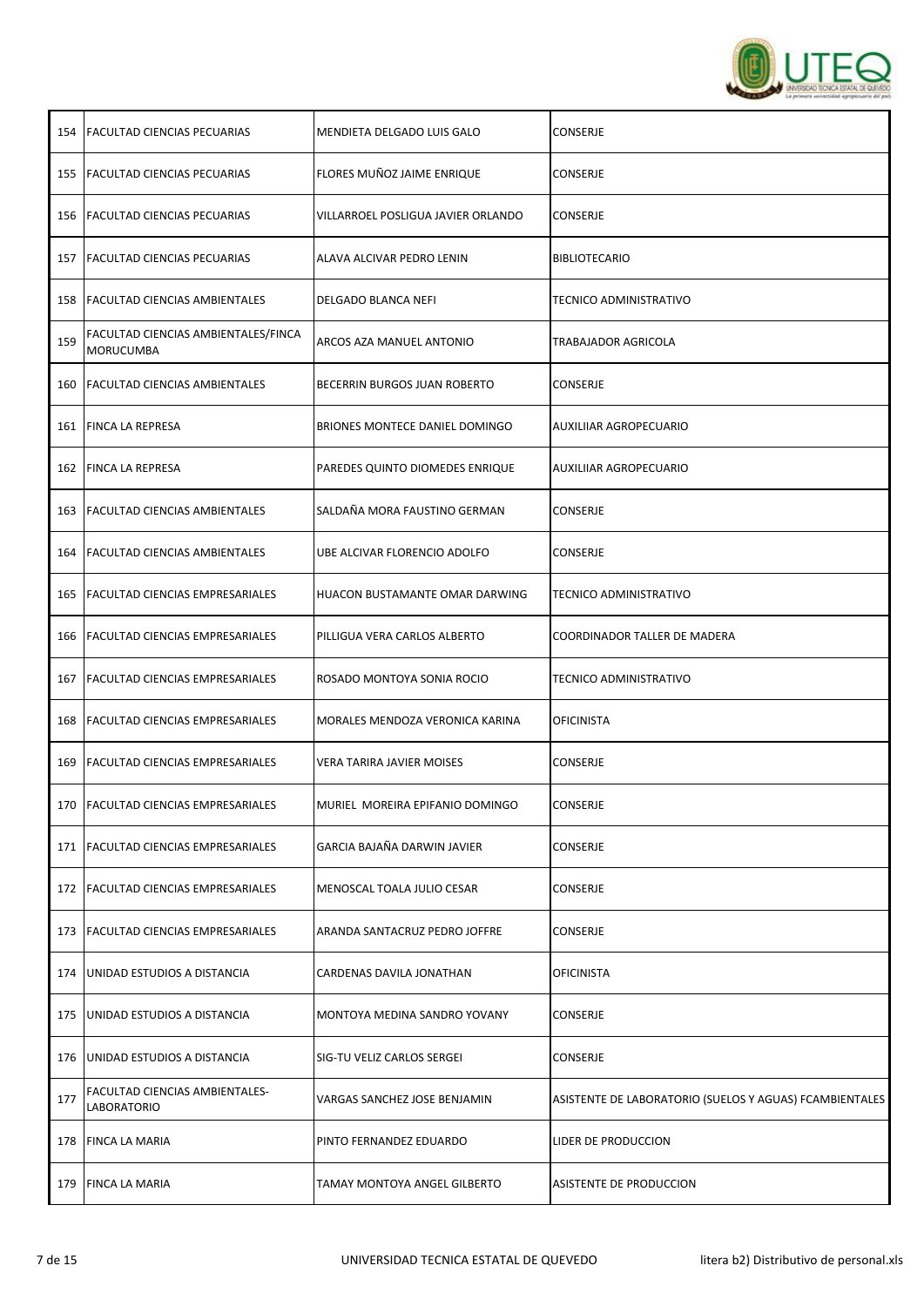

| 154 | <b>FACULTAD CIENCIAS PECUARIAS</b>                      | MENDIETA DELGADO LUIS GALO         | CONSERJE                                                |
|-----|---------------------------------------------------------|------------------------------------|---------------------------------------------------------|
| 155 | <b>FACULTAD CIENCIAS PECUARIAS</b>                      | FLORES MUÑOZ JAIME ENRIQUE         | CONSERJE                                                |
|     | 156 FACULTAD CIENCIAS PECUARIAS                         | VILLARROEL POSLIGUA JAVIER ORLANDO | CONSERJE                                                |
| 157 | <b>FACULTAD CIENCIAS PECUARIAS</b>                      | ALAVA ALCIVAR PEDRO LENIN          | <b>BIBLIOTECARIO</b>                                    |
|     | 158 FACULTAD CIENCIAS AMBIENTALES                       | DELGADO BLANCA NEFI                | TECNICO ADMINISTRATIVO                                  |
| 159 | FACULTAD CIENCIAS AMBIENTALES/FINCA<br><b>MORUCUMBA</b> | ARCOS AZA MANUEL ANTONIO           | TRABAJADOR AGRICOLA                                     |
|     | 160   FACULTAD CIENCIAS AMBIENTALES                     | BECERRIN BURGOS JUAN ROBERTO       | CONSERJE                                                |
| 161 | <b>FINCA LA REPRESA</b>                                 | BRIONES MONTECE DANIEL DOMINGO     | AUXILIIAR AGROPECUARIO                                  |
| 162 | <b>FINCA LA REPRESA</b>                                 | PAREDES QUINTO DIOMEDES ENRIQUE    | AUXILIIAR AGROPECUARIO                                  |
| 163 | <b>FACULTAD CIENCIAS AMBIENTALES</b>                    | SALDAÑA MORA FAUSTINO GERMAN       | CONSERJE                                                |
|     | 164 FACULTAD CIENCIAS AMBIENTALES                       | UBE ALCIVAR FLORENCIO ADOLFO       | CONSERJE                                                |
| 165 | <b>FACULTAD CIENCIAS EMPRESARIALES</b>                  | HUACON BUSTAMANTE OMAR DARWING     | TECNICO ADMINISTRATIVO                                  |
| 166 | <b>FACULTAD CIENCIAS EMPRESARIALES</b>                  | PILLIGUA VERA CARLOS ALBERTO       | COORDINADOR TALLER DE MADERA                            |
| 167 | <b>FACULTAD CIENCIAS EMPRESARIALES</b>                  | ROSADO MONTOYA SONIA ROCIO         | TECNICO ADMINISTRATIVO                                  |
| 168 | <b>FACULTAD CIENCIAS EMPRESARIALES</b>                  | MORALES MENDOZA VERONICA KARINA    | <b>OFICINISTA</b>                                       |
| 169 | <b>FACULTAD CIENCIAS EMPRESARIALES</b>                  | VERA TARIRA JAVIER MOISES          | CONSERJE                                                |
|     | 170 FACULTAD CIENCIAS EMPRESARIALES                     | MURIEL MOREIRA EPIFANIO DOMINGO    | CONSERJE                                                |
| 171 | <b>FACULTAD CIENCIAS EMPRESARIALES</b>                  | GARCIA BAJAÑA DARWIN JAVIER        | CONSERJE                                                |
| 172 | <b>FACULTAD CIENCIAS EMPRESARIALES</b>                  | MENOSCAL TOALA JULIO CESAR         | CONSERJE                                                |
| 173 | <b>FACULTAD CIENCIAS EMPRESARIALES</b>                  | ARANDA SANTACRUZ PEDRO JOFFRE      | CONSERJE                                                |
| 174 | UNIDAD ESTUDIOS A DISTANCIA                             | CARDENAS DAVILA JONATHAN           | <b>OFICINISTA</b>                                       |
| 175 | UNIDAD ESTUDIOS A DISTANCIA                             | MONTOYA MEDINA SANDRO YOVANY       | CONSERJE                                                |
| 176 | UNIDAD ESTUDIOS A DISTANCIA                             | SIG-TU VELIZ CARLOS SERGEI         | CONSERJE                                                |
| 177 | FACULTAD CIENCIAS AMBIENTALES-<br>LABORATORIO           | VARGAS SANCHEZ JOSE BENJAMIN       | ASISTENTE DE LABORATORIO (SUELOS Y AGUAS) FCAMBIENTALES |
| 178 | <b>FINCA LA MARIA</b>                                   | PINTO FERNANDEZ EDUARDO            | LIDER DE PRODUCCION                                     |
| 179 | <b>FINCA LA MARIA</b>                                   | TAMAY MONTOYA ANGEL GILBERTO       | ASISTENTE DE PRODUCCION                                 |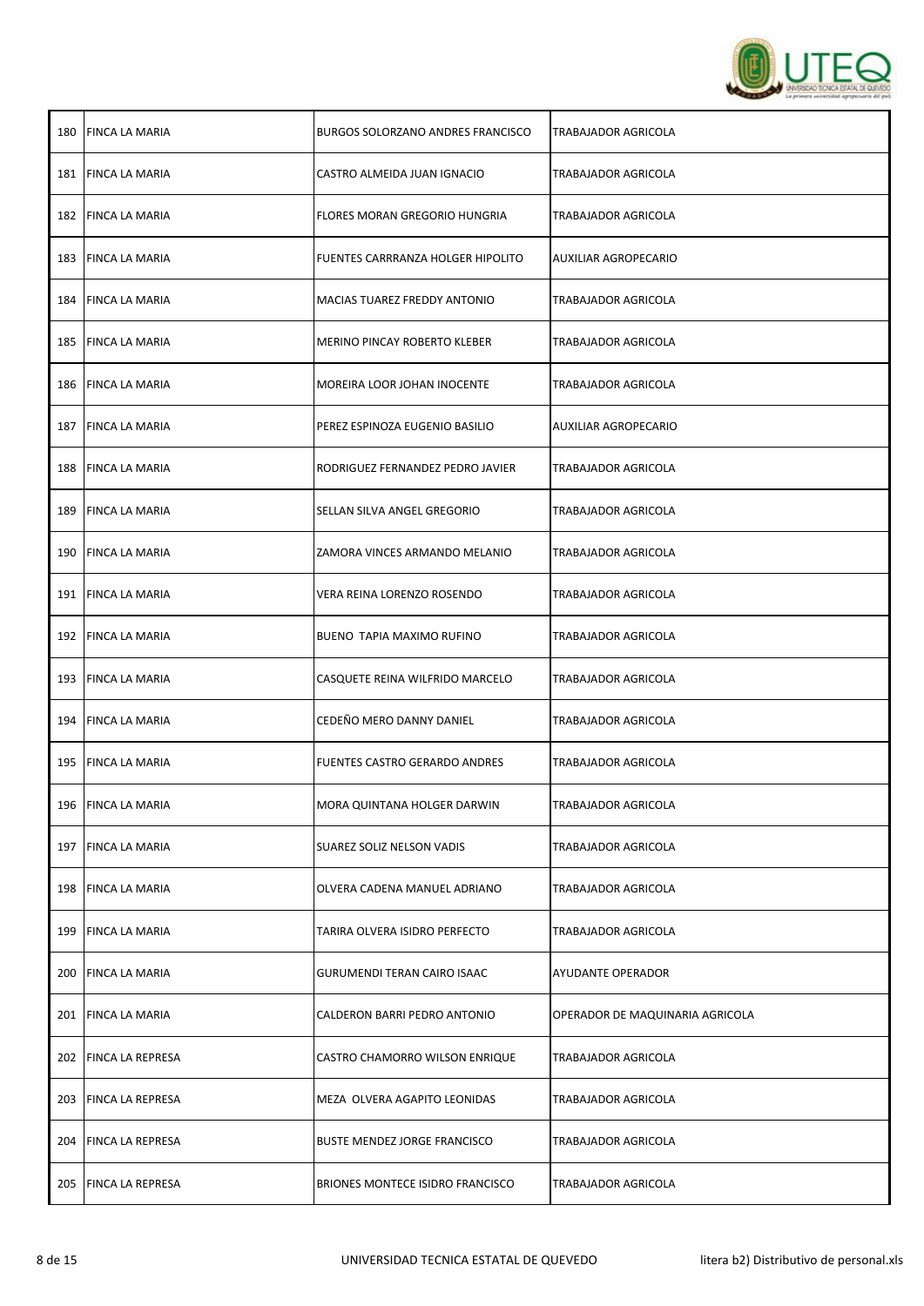

| 180 | <b>FINCA LA MARIA</b>   | BURGOS SOLORZANO ANDRES FRANCISCO   | TRABAJADOR AGRICOLA             |
|-----|-------------------------|-------------------------------------|---------------------------------|
|     | 181 FINCA LA MARIA      | CASTRO ALMEIDA JUAN IGNACIO         | TRABAJADOR AGRICOLA             |
|     | 182 FINCA LA MARIA      | FLORES MORAN GREGORIO HUNGRIA       | <b>TRABAJADOR AGRICOLA</b>      |
| 183 | <b>FINCA LA MARIA</b>   | FUENTES CARRRANZA HOLGER HIPOLITO   | AUXILIAR AGROPECARIO            |
|     | 184 FINCA LA MARIA      | MACIAS TUAREZ FREDDY ANTONIO        | TRABAJADOR AGRICOLA             |
| 185 | FINCA LA MARIA          | MERINO PINCAY ROBERTO KLEBER        | TRABAJADOR AGRICOLA             |
|     | 186 FINCA LA MARIA      | MOREIRA LOOR JOHAN INOCENTE         | TRABAJADOR AGRICOLA             |
| 187 | <b>FINCA LA MARIA</b>   | PEREZ ESPINOZA EUGENIO BASILIO      | AUXILIAR AGROPECARIO            |
| 188 | <b>FINCA LA MARIA</b>   | RODRIGUEZ FERNANDEZ PEDRO JAVIER    | TRABAJADOR AGRICOLA             |
| 189 | <b>FINCA LA MARIA</b>   | SELLAN SILVA ANGEL GREGORIO         | TRABAJADOR AGRICOLA             |
|     | 190 FINCA LA MARIA      | ZAMORA VINCES ARMANDO MELANIO       | TRABAJADOR AGRICOLA             |
| 191 | FINCA LA MARIA          | VERA REINA LORENZO ROSENDO          | TRABAJADOR AGRICOLA             |
|     | 192 FINCA LA MARIA      | BUENO TAPIA MAXIMO RUFINO           | TRABAJADOR AGRICOLA             |
| 193 | <b>FINCA LA MARIA</b>   | CASQUETE REINA WILFRIDO MARCELO     | TRABAJADOR AGRICOLA             |
|     | 194 FINCA LA MARIA      | CEDEÑO MERO DANNY DANIEL            | TRABAJADOR AGRICOLA             |
|     | 195 FINCA LA MARIA      | FUENTES CASTRO GERARDO ANDRES       | TRABAJADOR AGRICOLA             |
|     | 196 FINCA LA MARIA      | MORA QUINTANA HOLGER DARWIN         | TRABAJADOR AGRICOLA             |
| 197 | <b>FINCA LA MARIA</b>   | SUAREZ SOLIZ NELSON VADIS           | TRABAJADOR AGRICOLA             |
| 198 | <b>FINCA LA MARIA</b>   | OLVERA CADENA MANUEL ADRIANO        | TRABAJADOR AGRICOLA             |
| 199 | <b>FINCA LA MARIA</b>   | TARIRA OLVERA ISIDRO PERFECTO       | TRABAJADOR AGRICOLA             |
| 200 | <b>FINCA LA MARIA</b>   | <b>GURUMENDI TERAN CAIRO ISAAC</b>  | AYUDANTE OPERADOR               |
| 201 | <b>FINCA LA MARIA</b>   | CALDERON BARRI PEDRO ANTONIO        | OPERADOR DE MAQUINARIA AGRICOLA |
| 202 | <b>FINCA LA REPRESA</b> | CASTRO CHAMORRO WILSON ENRIQUE      | TRABAJADOR AGRICOLA             |
| 203 | <b>FINCA LA REPRESA</b> | MEZA OLVERA AGAPITO LEONIDAS        | TRABAJADOR AGRICOLA             |
|     | 204 FINCA LA REPRESA    | <b>BUSTE MENDEZ JORGE FRANCISCO</b> | TRABAJADOR AGRICOLA             |
|     | 205 FINCA LA REPRESA    | BRIONES MONTECE ISIDRO FRANCISCO    | TRABAJADOR AGRICOLA             |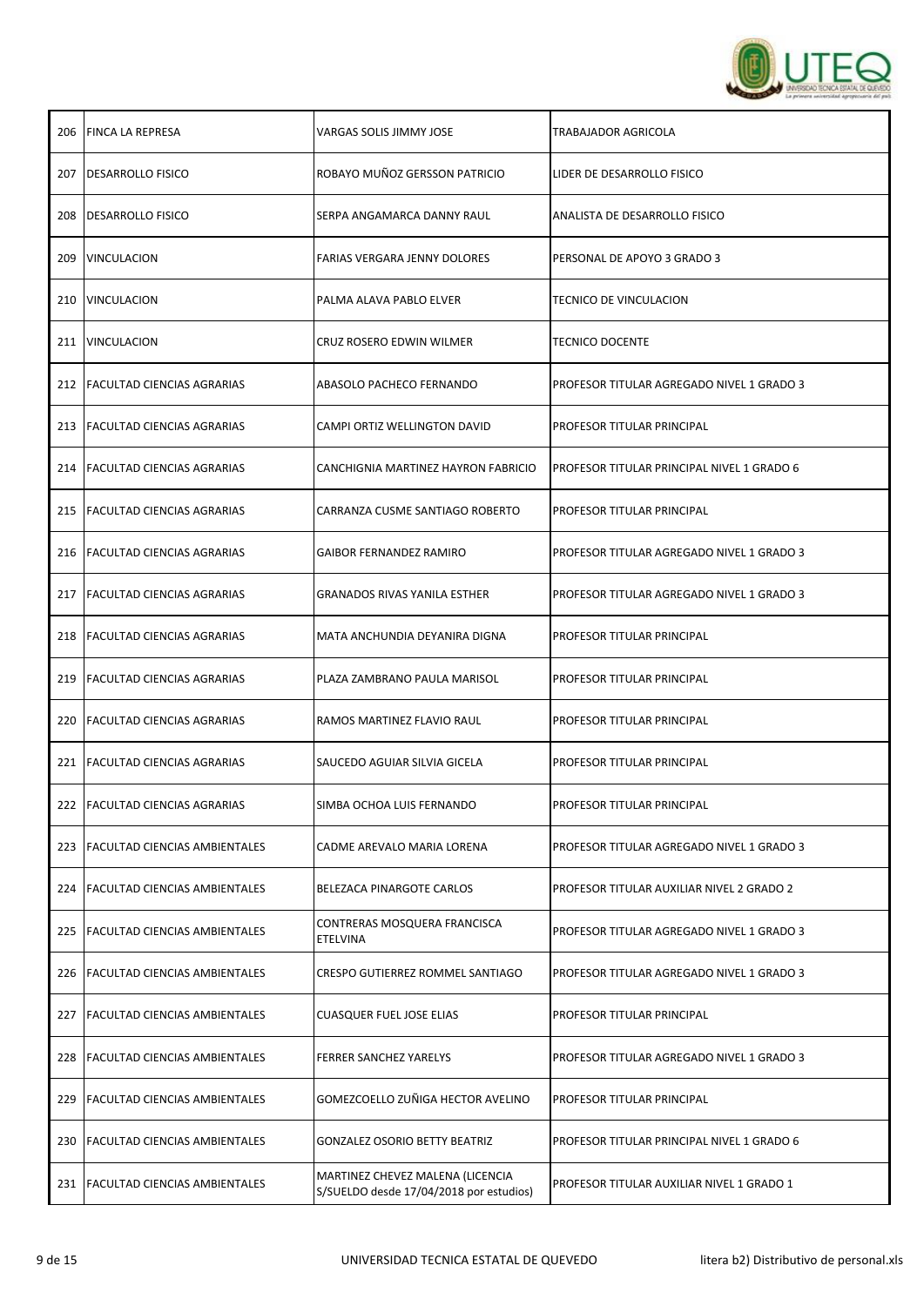

| 206 | <b>FINCA LA REPRESA</b>              | VARGAS SOLIS JIMMY JOSE                                                     | TRABAJADOR AGRICOLA                        |
|-----|--------------------------------------|-----------------------------------------------------------------------------|--------------------------------------------|
| 207 | <b>IDESARROLLO FISICO</b>            | ROBAYO MUÑOZ GERSSON PATRICIO                                               | LIDER DE DESARROLLO FISICO                 |
|     | 208   DESARROLLO FISICO              | SERPA ANGAMARCA DANNY RAUL                                                  | ANALISTA DE DESARROLLO FISICO              |
| 209 | <b>VINCULACION</b>                   | FARIAS VERGARA JENNY DOLORES                                                | PERSONAL DE APOYO 3 GRADO 3                |
|     | 210   VINCULACION                    | PALMA ALAVA PABLO ELVER                                                     | TECNICO DE VINCULACION                     |
|     | 211 VINCULACION                      | CRUZ ROSERO EDWIN WILMER                                                    | <b>TECNICO DOCENTE</b>                     |
|     | 212   FACULTAD CIENCIAS AGRARIAS     | ABASOLO PACHECO FERNANDO                                                    | PROFESOR TITULAR AGREGADO NIVEL 1 GRADO 3  |
|     | 213 FACULTAD CIENCIAS AGRARIAS       | CAMPI ORTIZ WELLINGTON DAVID                                                | PROFESOR TITULAR PRINCIPAL                 |
|     | 214   FACULTAD CIENCIAS AGRARIAS     | CANCHIGNIA MARTINEZ HAYRON FABRICIO                                         | PROFESOR TITULAR PRINCIPAL NIVEL 1 GRADO 6 |
| 215 | <b>FACULTAD CIENCIAS AGRARIAS</b>    | CARRANZA CUSME SANTIAGO ROBERTO                                             | PROFESOR TITULAR PRINCIPAL                 |
|     | 216   FACULTAD CIENCIAS AGRARIAS     | <b>GAIBOR FERNANDEZ RAMIRO</b>                                              | PROFESOR TITULAR AGREGADO NIVEL 1 GRADO 3  |
| 217 | <b>FACULTAD CIENCIAS AGRARIAS</b>    | <b>GRANADOS RIVAS YANILA ESTHER</b>                                         | PROFESOR TITULAR AGREGADO NIVEL 1 GRADO 3  |
|     | 218 FACULTAD CIENCIAS AGRARIAS       | MATA ANCHUNDIA DEYANIRA DIGNA                                               | PROFESOR TITULAR PRINCIPAL                 |
| 219 | <b>FACULTAD CIENCIAS AGRARIAS</b>    | PLAZA ZAMBRANO PAULA MARISOL                                                | PROFESOR TITULAR PRINCIPAL                 |
|     | 220 FACULTAD CIENCIAS AGRARIAS       | RAMOS MARTINEZ FLAVIO RAUL                                                  | PROFESOR TITULAR PRINCIPAL                 |
| 221 | <b>FACULTAD CIENCIAS AGRARIAS</b>    | SAUCEDO AGUIAR SILVIA GICELA                                                | PROFESOR TITULAR PRINCIPAL                 |
|     | 222   FACULTAD CIENCIAS AGRARIAS     | SIMBA OCHOA LUIS FERNANDO                                                   | <b>PROFESOR TITULAR PRINCIPAL</b>          |
| 223 | FACULTAD CIENCIAS AMBIENTALES        | CADME AREVALO MARIA LORENA                                                  | PROFESOR TITULAR AGREGADO NIVEL 1 GRADO 3  |
| 224 | <b>FACULTAD CIENCIAS AMBIENTALES</b> | BELEZACA PINARGOTE CARLOS                                                   | PROFESOR TITULAR AUXILIAR NIVEL 2 GRADO 2  |
| 225 | <b>FACULTAD CIENCIAS AMBIENTALES</b> | CONTRERAS MOSQUERA FRANCISCA<br><b>ETELVINA</b>                             | PROFESOR TITULAR AGREGADO NIVEL 1 GRADO 3  |
| 226 | <b>FACULTAD CIENCIAS AMBIENTALES</b> | CRESPO GUTIERREZ ROMMEL SANTIAGO                                            | PROFESOR TITULAR AGREGADO NIVEL 1 GRADO 3  |
| 227 | <b>FACULTAD CIENCIAS AMBIENTALES</b> | <b>CUASQUER FUEL JOSE ELIAS</b>                                             | PROFESOR TITULAR PRINCIPAL                 |
| 228 | <b>FACULTAD CIENCIAS AMBIENTALES</b> | <b>FERRER SANCHEZ YARELYS</b>                                               | PROFESOR TITULAR AGREGADO NIVEL 1 GRADO 3  |
| 229 | <b>FACULTAD CIENCIAS AMBIENTALES</b> | GOMEZCOELLO ZUÑIGA HECTOR AVELINO                                           | PROFESOR TITULAR PRINCIPAL                 |
|     | 230   FACULTAD CIENCIAS AMBIENTALES  | <b>GONZALEZ OSORIO BETTY BEATRIZ</b>                                        | PROFESOR TITULAR PRINCIPAL NIVEL 1 GRADO 6 |
|     | 231 FACULTAD CIENCIAS AMBIENTALES    | MARTINEZ CHEVEZ MALENA (LICENCIA<br>S/SUELDO desde 17/04/2018 por estudios) | PROFESOR TITULAR AUXILIAR NIVEL 1 GRADO 1  |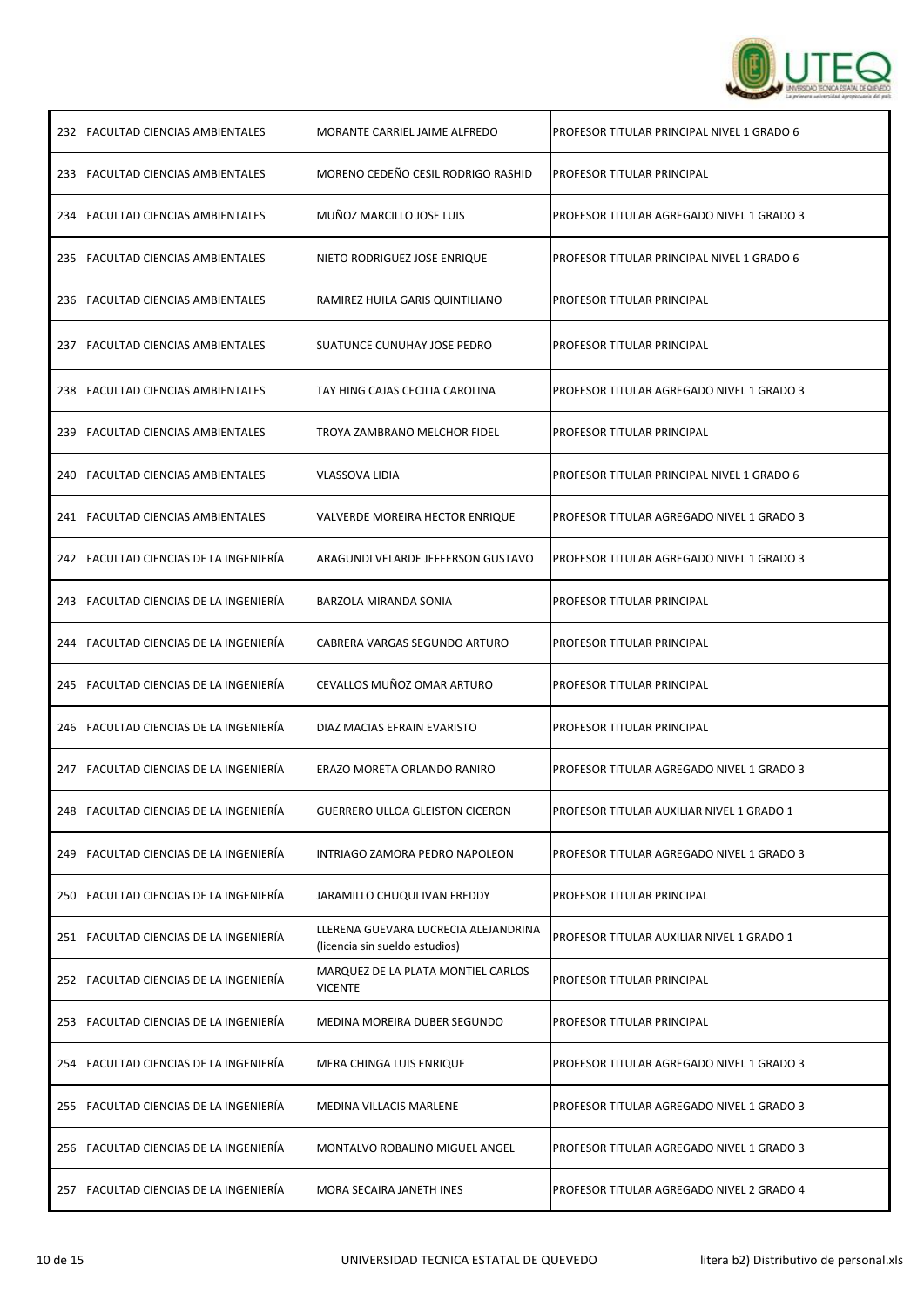

|     | 232 FACULTAD CIENCIAS AMBIENTALES        | MORANTE CARRIEL JAIME ALFREDO                                          | PROFESOR TITULAR PRINCIPAL NIVEL 1 GRADO 6 |
|-----|------------------------------------------|------------------------------------------------------------------------|--------------------------------------------|
|     | 233 FACULTAD CIENCIAS AMBIENTALES        | MORENO CEDEÑO CESIL RODRIGO RASHID                                     | PROFESOR TITULAR PRINCIPAL                 |
|     | 234 FACULTAD CIENCIAS AMBIENTALES        | MUÑOZ MARCILLO JOSE LUIS                                               | PROFESOR TITULAR AGREGADO NIVEL 1 GRADO 3  |
|     | 235   FACULTAD CIENCIAS AMBIENTALES      | NIETO RODRIGUEZ JOSE ENRIQUE                                           | PROFESOR TITULAR PRINCIPAL NIVEL 1 GRADO 6 |
|     | 236 FACULTAD CIENCIAS AMBIENTALES        | RAMIREZ HUILA GARIS QUINTILIANO                                        | PROFESOR TITULAR PRINCIPAL                 |
| 237 | <b>FACULTAD CIENCIAS AMBIENTALES</b>     | SUATUNCE CUNUHAY JOSE PEDRO                                            | PROFESOR TITULAR PRINCIPAL                 |
| 238 | <b>FACULTAD CIENCIAS AMBIENTALES</b>     | TAY HING CAJAS CECILIA CAROLINA                                        | PROFESOR TITULAR AGREGADO NIVEL 1 GRADO 3  |
| 239 | <b>FACULTAD CIENCIAS AMBIENTALES</b>     | TROYA ZAMBRANO MELCHOR FIDEL                                           | PROFESOR TITULAR PRINCIPAL                 |
| 240 | <b>FACULTAD CIENCIAS AMBIENTALES</b>     | VLASSOVA LIDIA                                                         | PROFESOR TITULAR PRINCIPAL NIVEL 1 GRADO 6 |
|     | 241   FACULTAD CIENCIAS AMBIENTALES      | VALVERDE MOREIRA HECTOR ENRIQUE                                        | PROFESOR TITULAR AGREGADO NIVEL 1 GRADO 3  |
|     | 242 FACULTAD CIENCIAS DE LA INGENIERÍA   | ARAGUNDI VELARDE JEFFERSON GUSTAVO                                     | PROFESOR TITULAR AGREGADO NIVEL 1 GRADO 3  |
| 243 | FACULTAD CIENCIAS DE LA INGENIERÍA       | BARZOLA MIRANDA SONIA                                                  | PROFESOR TITULAR PRINCIPAL                 |
|     | 244 FACULTAD CIENCIAS DE LA INGENIERÍA   | CABRERA VARGAS SEGUNDO ARTURO                                          | PROFESOR TITULAR PRINCIPAL                 |
|     |                                          |                                                                        |                                            |
|     | 245   FACULTAD CIENCIAS DE LA INGENIERÍA | CEVALLOS MUÑOZ OMAR ARTURO                                             | PROFESOR TITULAR PRINCIPAL                 |
|     | 246   FACULTAD CIENCIAS DE LA INGENIERÍA | DIAZ MACIAS EFRAIN EVARISTO                                            | PROFESOR TITULAR PRINCIPAL                 |
|     | 247   FACULTAD CIENCIAS DE LA INGENIERÍA | ERAZO MORETA ORLANDO RANIRO                                            | PROFESOR TITULAR AGREGADO NIVEL 1 GRADO 3  |
|     | 248 FACULTAD CIENCIAS DE LA INGENIERÍA   | GUERRERO ULLOA GLEISTON CICERON                                        | PROFESOR TITULAR AUXILIAR NIVEL 1 GRADO 1  |
| 249 | FACULTAD CIENCIAS DE LA INGENIERÍA       | INTRIAGO ZAMORA PEDRO NAPOLEON                                         | PROFESOR TITULAR AGREGADO NIVEL 1 GRADO 3  |
|     | 250 FACULTAD CIENCIAS DE LA INGENIERÍA   | JARAMILLO CHUQUI IVAN FREDDY                                           | PROFESOR TITULAR PRINCIPAL                 |
|     | 251 FACULTAD CIENCIAS DE LA INGENIERÍA   | LLERENA GUEVARA LUCRECIA ALEJANDRINA<br>(licencia sin sueldo estudios) | PROFESOR TITULAR AUXILIAR NIVEL 1 GRADO 1  |
|     | 252 FACULTAD CIENCIAS DE LA INGENIERÍA   | MARQUEZ DE LA PLATA MONTIEL CARLOS<br><b>VICENTE</b>                   | PROFESOR TITULAR PRINCIPAL                 |
| 253 | FACULTAD CIENCIAS DE LA INGENIERÍA       | MEDINA MOREIRA DUBER SEGUNDO                                           | PROFESOR TITULAR PRINCIPAL                 |
|     | 254   FACULTAD CIENCIAS DE LA INGENIERÍA | MERA CHINGA LUIS ENRIQUE                                               | PROFESOR TITULAR AGREGADO NIVEL 1 GRADO 3  |
| 255 | FACULTAD CIENCIAS DE LA INGENIERÍA       | MEDINA VILLACIS MARLENE                                                | PROFESOR TITULAR AGREGADO NIVEL 1 GRADO 3  |
| 256 | FACULTAD CIENCIAS DE LA INGENIERÍA       | MONTALVO ROBALINO MIGUEL ANGEL                                         | PROFESOR TITULAR AGREGADO NIVEL 1 GRADO 3  |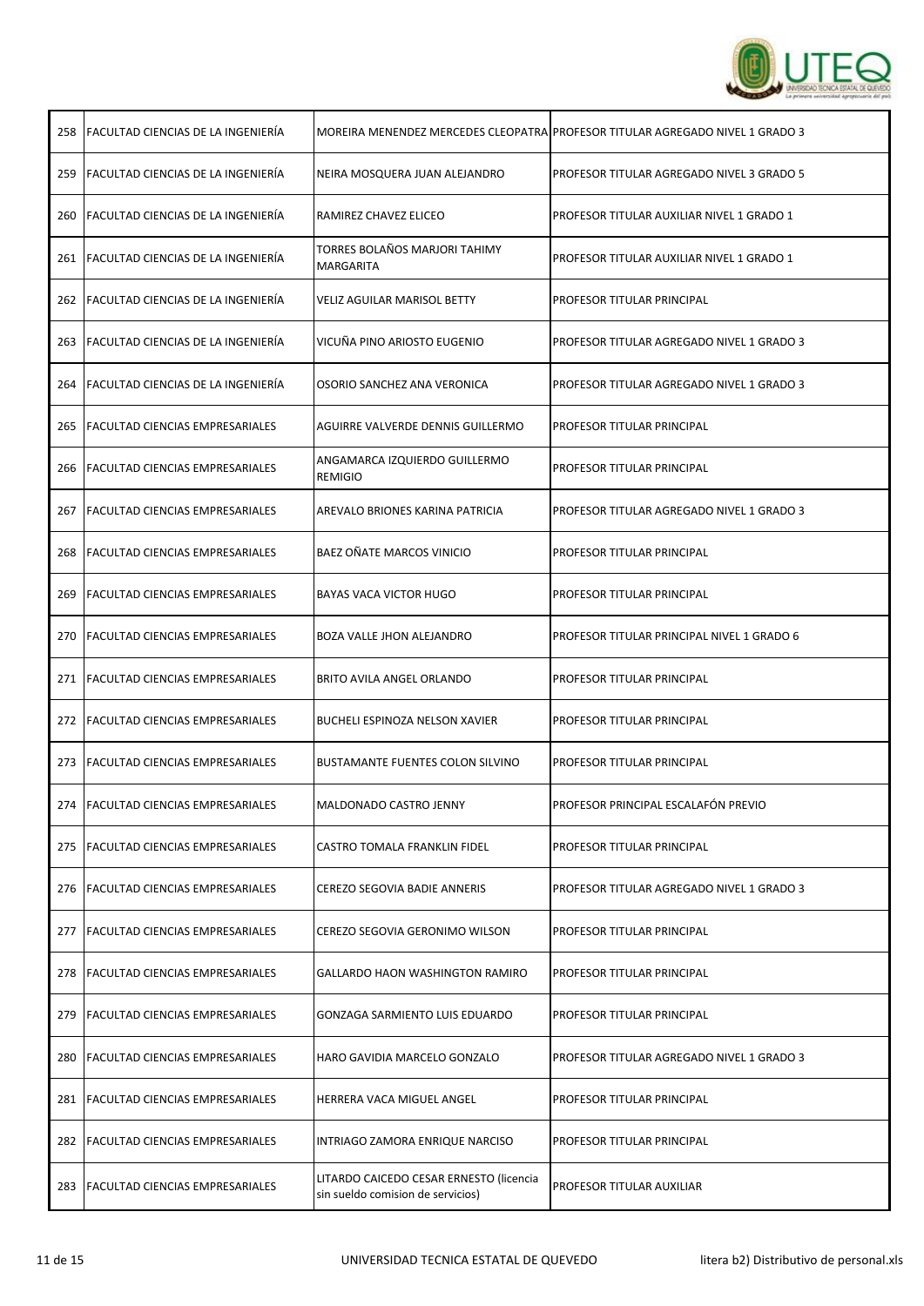

| 258 | <b>FACULTAD CIENCIAS DE LA INGENIERÍA</b> |                                                                              | MOREIRA MENENDEZ MERCEDES CLEOPATRA PROFESOR TITULAR AGREGADO NIVEL 1 GRADO 3 |
|-----|-------------------------------------------|------------------------------------------------------------------------------|-------------------------------------------------------------------------------|
|     | 259 FACULTAD CIENCIAS DE LA INGENIERÍA    | NEIRA MOSQUERA JUAN ALEJANDRO                                                | PROFESOR TITULAR AGREGADO NIVEL 3 GRADO 5                                     |
|     | 260 FACULTAD CIENCIAS DE LA INGENIERÍA    | RAMIREZ CHAVEZ ELICEO                                                        | PROFESOR TITULAR AUXILIAR NIVEL 1 GRADO 1                                     |
|     | 261 FACULTAD CIENCIAS DE LA INGENIERÍA    | TORRES BOLAÑOS MARJORI TAHIMY<br>MARGARITA                                   | PROFESOR TITULAR AUXILIAR NIVEL 1 GRADO 1                                     |
|     | 262 FACULTAD CIENCIAS DE LA INGENIERÍA    | <b>VELIZ AGUILAR MARISOL BETTY</b>                                           | PROFESOR TITULAR PRINCIPAL                                                    |
|     | 263 FACULTAD CIENCIAS DE LA INGENIERÍA    | VICUÑA PINO ARIOSTO EUGENIO                                                  | PROFESOR TITULAR AGREGADO NIVEL 1 GRADO 3                                     |
|     | 264 FACULTAD CIENCIAS DE LA INGENIERÍA    | OSORIO SANCHEZ ANA VERONICA                                                  | PROFESOR TITULAR AGREGADO NIVEL 1 GRADO 3                                     |
|     | 265   FACULTAD CIENCIAS EMPRESARIALES     | AGUIRRE VALVERDE DENNIS GUILLERMO                                            | PROFESOR TITULAR PRINCIPAL                                                    |
|     | 266 FACULTAD CIENCIAS EMPRESARIALES       | ANGAMARCA IZQUIERDO GUILLERMO<br><b>REMIGIO</b>                              | PROFESOR TITULAR PRINCIPAL                                                    |
|     | 267   FACULTAD CIENCIAS EMPRESARIALES     | AREVALO BRIONES KARINA PATRICIA                                              | PROFESOR TITULAR AGREGADO NIVEL 1 GRADO 3                                     |
|     | 268 FACULTAD CIENCIAS EMPRESARIALES       | BAEZ OÑATE MARCOS VINICIO                                                    | PROFESOR TITULAR PRINCIPAL                                                    |
|     | 269   FACULTAD CIENCIAS EMPRESARIALES     | BAYAS VACA VICTOR HUGO                                                       | PROFESOR TITULAR PRINCIPAL                                                    |
|     | 270 FACULTAD CIENCIAS EMPRESARIALES       | BOZA VALLE JHON ALEJANDRO                                                    | PROFESOR TITULAR PRINCIPAL NIVEL 1 GRADO 6                                    |
|     | 271 FACULTAD CIENCIAS EMPRESARIALES       | BRITO AVILA ANGEL ORLANDO                                                    | PROFESOR TITULAR PRINCIPAL                                                    |
|     | 272   FACULTAD CIENCIAS EMPRESARIALES     | BUCHELI ESPINOZA NELSON XAVIER                                               | PROFESOR TITULAR PRINCIPAL                                                    |
|     | 273   FACULTAD CIENCIAS EMPRESARIALES     | <b>BUSTAMANTE FUENTES COLON SILVINO</b>                                      | PROFESOR TITULAR PRINCIPAL                                                    |
|     | 274   FACULTAD CIENCIAS EMPRESARIALES     | MALDONADO CASTRO JENNY                                                       | PROFESOR PRINCIPAL ESCALAFÓN PREVIO                                           |
| 275 | <b>FACULTAD CIENCIAS EMPRESARIALES</b>    | CASTRO TOMALA FRANKLIN FIDEL                                                 | PROFESOR TITULAR PRINCIPAL                                                    |
|     | 276 FACULTAD CIENCIAS EMPRESARIALES       | CEREZO SEGOVIA BADIE ANNERIS                                                 | PROFESOR TITULAR AGREGADO NIVEL 1 GRADO 3                                     |
| 277 | <b>FACULTAD CIENCIAS EMPRESARIALES</b>    | CEREZO SEGOVIA GERONIMO WILSON                                               | PROFESOR TITULAR PRINCIPAL                                                    |
|     | 278   FACULTAD CIENCIAS EMPRESARIALES     | GALLARDO HAON WASHINGTON RAMIRO                                              | PROFESOR TITULAR PRINCIPAL                                                    |
| 279 | <b>FACULTAD CIENCIAS EMPRESARIALES</b>    | GONZAGA SARMIENTO LUIS EDUARDO                                               | PROFESOR TITULAR PRINCIPAL                                                    |
| 280 | <b>FACULTAD CIENCIAS EMPRESARIALES</b>    | HARO GAVIDIA MARCELO GONZALO                                                 | PROFESOR TITULAR AGREGADO NIVEL 1 GRADO 3                                     |
| 281 | <b>FACULTAD CIENCIAS EMPRESARIALES</b>    | HERRERA VACA MIGUEL ANGEL                                                    | PROFESOR TITULAR PRINCIPAL                                                    |
|     | 282   FACULTAD CIENCIAS EMPRESARIALES     | INTRIAGO ZAMORA ENRIQUE NARCISO                                              | PROFESOR TITULAR PRINCIPAL                                                    |
| 283 | <b>FACULTAD CIENCIAS EMPRESARIALES</b>    | LITARDO CAICEDO CESAR ERNESTO (licencia<br>sin sueldo comision de servicios) | PROFESOR TITULAR AUXILIAR                                                     |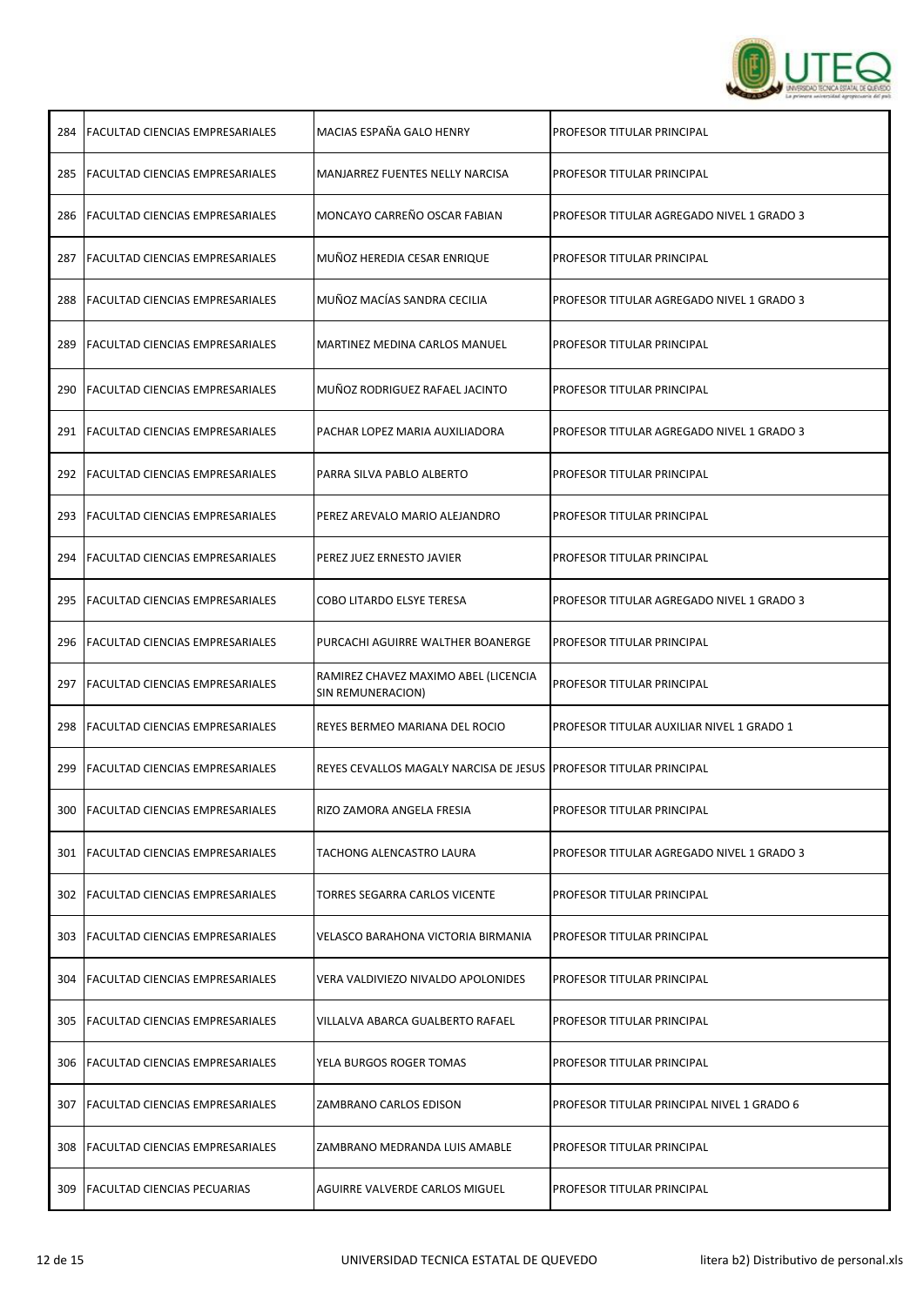

| 284 | <b>FACULTAD CIENCIAS EMPRESARIALES</b> | MACIAS ESPAÑA GALO HENRY                                            | PROFESOR TITULAR PRINCIPAL                 |
|-----|----------------------------------------|---------------------------------------------------------------------|--------------------------------------------|
| 285 | <b>FACULTAD CIENCIAS EMPRESARIALES</b> | MANJARREZ FUENTES NELLY NARCISA                                     | PROFESOR TITULAR PRINCIPAL                 |
| 286 | <b>FACULTAD CIENCIAS EMPRESARIALES</b> | MONCAYO CARREÑO OSCAR FABIAN                                        | PROFESOR TITULAR AGREGADO NIVEL 1 GRADO 3  |
| 287 | <b>FACULTAD CIENCIAS EMPRESARIALES</b> | MUÑOZ HEREDIA CESAR ENRIQUE                                         | PROFESOR TITULAR PRINCIPAL                 |
| 288 | <b>FACULTAD CIENCIAS EMPRESARIALES</b> | MUÑOZ MACÍAS SANDRA CECILIA                                         | PROFESOR TITULAR AGREGADO NIVEL 1 GRADO 3  |
| 289 | FACULTAD CIENCIAS EMPRESARIALES        | MARTINEZ MEDINA CARLOS MANUEL                                       | PROFESOR TITULAR PRINCIPAL                 |
| 290 | <b>FACULTAD CIENCIAS EMPRESARIALES</b> | MUÑOZ RODRIGUEZ RAFAEL JACINTO                                      | PROFESOR TITULAR PRINCIPAL                 |
| 291 | <b>FACULTAD CIENCIAS EMPRESARIALES</b> | PACHAR LOPEZ MARIA AUXILIADORA                                      | PROFESOR TITULAR AGREGADO NIVEL 1 GRADO 3  |
| 292 | <b>FACULTAD CIENCIAS EMPRESARIALES</b> | PARRA SILVA PABLO ALBERTO                                           | PROFESOR TITULAR PRINCIPAL                 |
| 293 | <b>FACULTAD CIENCIAS EMPRESARIALES</b> | PEREZ AREVALO MARIO ALEJANDRO                                       | PROFESOR TITULAR PRINCIPAL                 |
| 294 | <b>FACULTAD CIENCIAS EMPRESARIALES</b> | PEREZ JUEZ ERNESTO JAVIER                                           | PROFESOR TITULAR PRINCIPAL                 |
| 295 | <b>FACULTAD CIENCIAS EMPRESARIALES</b> | COBO LITARDO ELSYE TERESA                                           | PROFESOR TITULAR AGREGADO NIVEL 1 GRADO 3  |
| 296 | <b>FACULTAD CIENCIAS EMPRESARIALES</b> | PURCACHI AGUIRRE WALTHER BOANERGE                                   | PROFESOR TITULAR PRINCIPAL                 |
| 297 | <b>FACULTAD CIENCIAS EMPRESARIALES</b> | RAMIREZ CHAVEZ MAXIMO ABEL (LICENCIA<br>SIN REMUNERACION)           | PROFESOR TITULAR PRINCIPAL                 |
| 298 | <b>FACULTAD CIENCIAS EMPRESARIALES</b> | REYES BERMEO MARIANA DEL ROCIO                                      | PROFESOR TITULAR AUXILIAR NIVEL 1 GRADO 1  |
| 299 | <b>FACULTAD CIENCIAS EMPRESARIALES</b> | REYES CEVALLOS MAGALY NARCISA DE JESUS   PROFESOR TITULAR PRINCIPAL |                                            |
|     | 300   FACULTAD CIENCIAS EMPRESARIALES  | RIZO ZAMORA ANGELA FRESIA                                           | PROFESOR TITULAR PRINCIPAL                 |
| 301 | <b>FACULTAD CIENCIAS EMPRESARIALES</b> | TACHONG ALENCASTRO LAURA                                            | PROFESOR TITULAR AGREGADO NIVEL 1 GRADO 3  |
| 302 | <b>FACULTAD CIENCIAS EMPRESARIALES</b> | TORRES SEGARRA CARLOS VICENTE                                       | PROFESOR TITULAR PRINCIPAL                 |
| 303 | <b>FACULTAD CIENCIAS EMPRESARIALES</b> | VELASCO BARAHONA VICTORIA BIRMANIA                                  | PROFESOR TITULAR PRINCIPAL                 |
| 304 | <b>FACULTAD CIENCIAS EMPRESARIALES</b> | VERA VALDIVIEZO NIVALDO APOLONIDES                                  | <b>PROFESOR TITULAR PRINCIPAL</b>          |
| 305 | <b>FACULTAD CIENCIAS EMPRESARIALES</b> | VILLALVA ABARCA GUALBERTO RAFAEL                                    | <b>PROFESOR TITULAR PRINCIPAL</b>          |
| 306 | <b>FACULTAD CIENCIAS EMPRESARIALES</b> | YELA BURGOS ROGER TOMAS                                             | PROFESOR TITULAR PRINCIPAL                 |
| 307 | <b>FACULTAD CIENCIAS EMPRESARIALES</b> | ZAMBRANO CARLOS EDISON                                              | PROFESOR TITULAR PRINCIPAL NIVEL 1 GRADO 6 |
| 308 | <b>FACULTAD CIENCIAS EMPRESARIALES</b> | ZAMBRANO MEDRANDA LUIS AMABLE                                       | PROFESOR TITULAR PRINCIPAL                 |
| 309 | <b>FACULTAD CIENCIAS PECUARIAS</b>     | AGUIRRE VALVERDE CARLOS MIGUEL                                      | <b>PROFESOR TITULAR PRINCIPAL</b>          |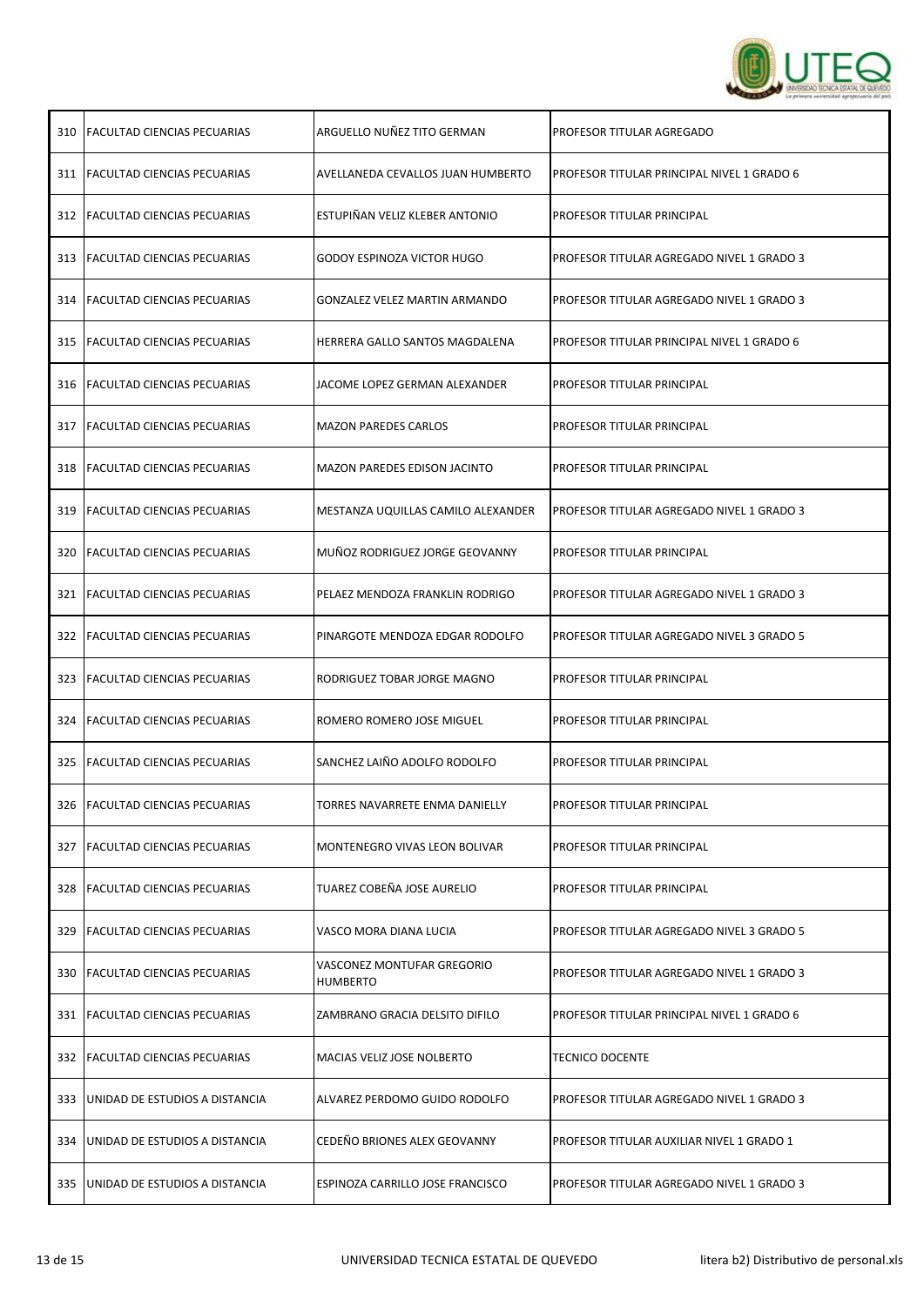

|     | 310   FACULTAD CIENCIAS PECUARIAS   | ARGUELLO NUÑEZ TITO GERMAN             | PROFESOR TITULAR AGREGADO                  |
|-----|-------------------------------------|----------------------------------------|--------------------------------------------|
|     | 311 FACULTAD CIENCIAS PECUARIAS     | AVELLANEDA CEVALLOS JUAN HUMBERTO      | PROFESOR TITULAR PRINCIPAL NIVEL 1 GRADO 6 |
|     | 312 FACULTAD CIENCIAS PECUARIAS     | ESTUPIÑAN VELIZ KLEBER ANTONIO         | PROFESOR TITULAR PRINCIPAL                 |
|     | 313 FACULTAD CIENCIAS PECUARIAS     | GODOY ESPINOZA VICTOR HUGO             | PROFESOR TITULAR AGREGADO NIVEL 1 GRADO 3  |
|     | 314   FACULTAD CIENCIAS PECUARIAS   | GONZALEZ VELEZ MARTIN ARMANDO          | PROFESOR TITULAR AGREGADO NIVEL 1 GRADO 3  |
|     | 315   FACULTAD CIENCIAS PECUARIAS   | HERRERA GALLO SANTOS MAGDALENA         | PROFESOR TITULAR PRINCIPAL NIVEL 1 GRADO 6 |
|     | 316 FACULTAD CIENCIAS PECUARIAS     | JACOME LOPEZ GERMAN ALEXANDER          | PROFESOR TITULAR PRINCIPAL                 |
| 317 | <b>FACULTAD CIENCIAS PECUARIAS</b>  | <b>MAZON PAREDES CARLOS</b>            | PROFESOR TITULAR PRINCIPAL                 |
|     | 318 FACULTAD CIENCIAS PECUARIAS     | MAZON PAREDES EDISON JACINTO           | PROFESOR TITULAR PRINCIPAL                 |
| 319 | <b>FACULTAD CIENCIAS PECUARIAS</b>  | MESTANZA UQUILLAS CAMILO ALEXANDER     | PROFESOR TITULAR AGREGADO NIVEL 1 GRADO 3  |
|     | 320 FACULTAD CIENCIAS PECUARIAS     | MUÑOZ RODRIGUEZ JORGE GEOVANNY         | PROFESOR TITULAR PRINCIPAL                 |
|     | 321   FACULTAD CIENCIAS PECUARIAS   | PELAEZ MENDOZA FRANKLIN RODRIGO        | PROFESOR TITULAR AGREGADO NIVEL 1 GRADO 3  |
|     | 322 FACULTAD CIENCIAS PECUARIAS     | PINARGOTE MENDOZA EDGAR RODOLFO        | PROFESOR TITULAR AGREGADO NIVEL 3 GRADO 5  |
|     | 323   FACULTAD CIENCIAS PECUARIAS   | RODRIGUEZ TOBAR JORGE MAGNO            | PROFESOR TITULAR PRINCIPAL                 |
|     | 324   FACULTAD CIENCIAS PECUARIAS   | ROMERO ROMERO JOSE MIGUEL              | PROFESOR TITULAR PRINCIPAL                 |
|     | 325 FACULTAD CIENCIAS PECUARIAS     | SANCHEZ LAIÑO ADOLFO RODOLFO           | PROFESOR TITULAR PRINCIPAL                 |
|     | 326 FACULTAD CIENCIAS PECUARIAS     | TORRES NAVARRETE ENMA DANIELLY         | <b>PROFESOR TITULAR PRINCIPAL</b>          |
|     | 327 IFACULTAD CIENCIAS PECUARIAS    | MONTENEGRO VIVAS LEON BOLIVAR          | PROFESOR TITULAR PRINCIPAL                 |
|     | 328 FACULTAD CIENCIAS PECUARIAS     | TUAREZ COBEÑA JOSE AURELIO             | PROFESOR TITULAR PRINCIPAL                 |
| 329 |                                     |                                        |                                            |
|     | <b>FACULTAD CIENCIAS PECUARIAS</b>  | VASCO MORA DIANA LUCIA                 | PROFESOR TITULAR AGREGADO NIVEL 3 GRADO 5  |
|     | 330 IFACULTAD CIENCIAS PECUARIAS    | VASCONEZ MONTUFAR GREGORIO<br>HUMBERTO | PROFESOR TITULAR AGREGADO NIVEL 1 GRADO 3  |
|     | 331   FACULTAD CIENCIAS PECUARIAS   | ZAMBRANO GRACIA DELSITO DIFILO         | PROFESOR TITULAR PRINCIPAL NIVEL 1 GRADO 6 |
|     | 332 FACULTAD CIENCIAS PECUARIAS     | MACIAS VELIZ JOSE NOLBERTO             | <b>TECNICO DOCENTE</b>                     |
| 333 | JUNIDAD DE ESTUDIOS A DISTANCIA     | ALVAREZ PERDOMO GUIDO RODOLFO          | PROFESOR TITULAR AGREGADO NIVEL 1 GRADO 3  |
|     | 334 JUNIDAD DE ESTUDIOS A DISTANCIA | CEDEÑO BRIONES ALEX GEOVANNY           | PROFESOR TITULAR AUXILIAR NIVEL 1 GRADO 1  |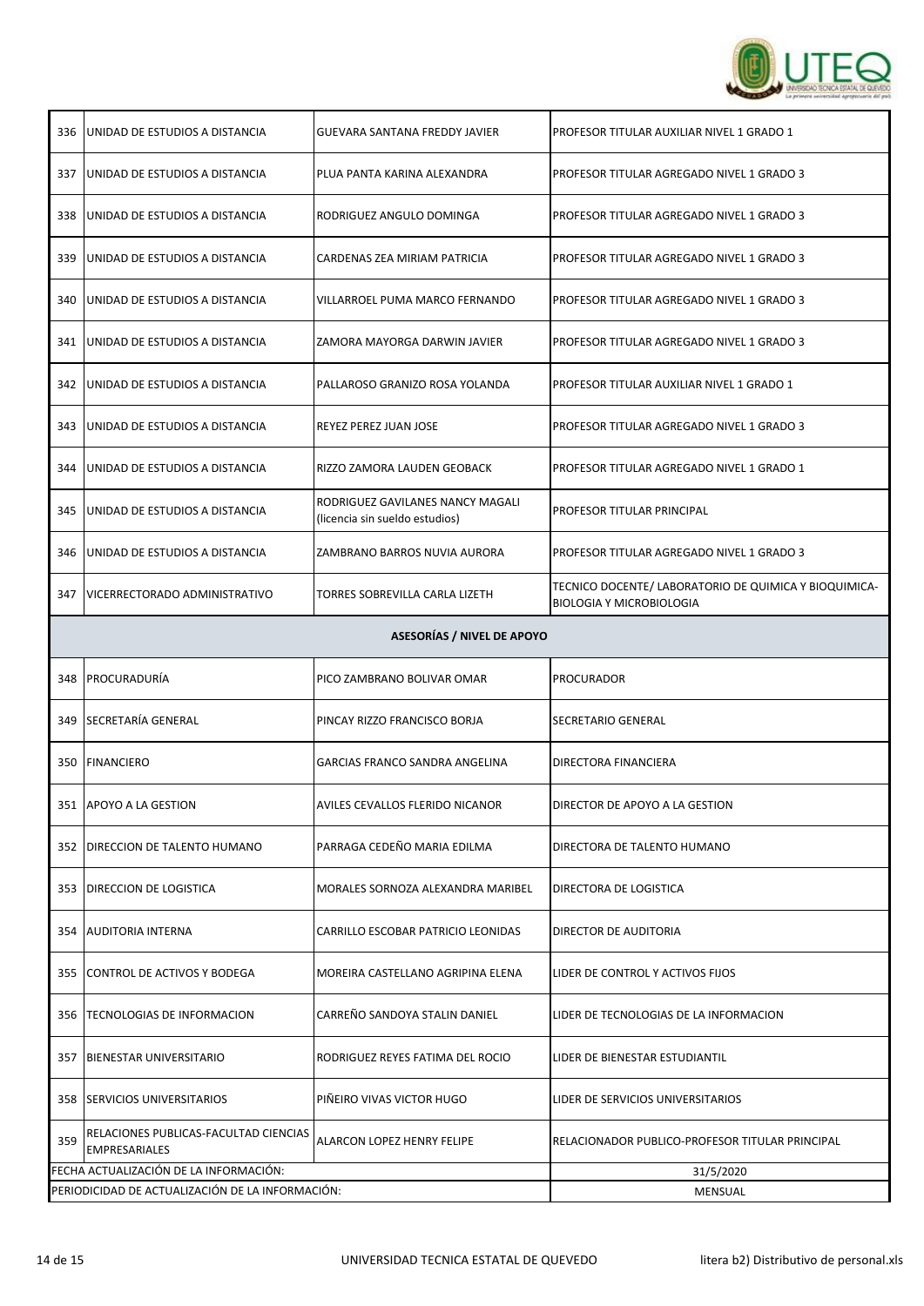

| 336                               | UNIDAD DE ESTUDIOS A DISTANCIA                                | GUEVARA SANTANA FREDDY JAVIER                                      | PROFESOR TITULAR AUXILIAR NIVEL 1 GRADO 1                                                |  |  |
|-----------------------------------|---------------------------------------------------------------|--------------------------------------------------------------------|------------------------------------------------------------------------------------------|--|--|
|                                   | 337 UNIDAD DE ESTUDIOS A DISTANCIA                            | PLUA PANTA KARINA ALEXANDRA                                        | PROFESOR TITULAR AGREGADO NIVEL 1 GRADO 3                                                |  |  |
| 338                               | UNIDAD DE ESTUDIOS A DISTANCIA                                | RODRIGUEZ ANGULO DOMINGA                                           | PROFESOR TITULAR AGREGADO NIVEL 1 GRADO 3                                                |  |  |
| 339                               | JUNIDAD DE ESTUDIOS A DISTANCIA                               | CARDENAS ZEA MIRIAM PATRICIA                                       | PROFESOR TITULAR AGREGADO NIVEL 1 GRADO 3                                                |  |  |
| 340                               | JUNIDAD DE ESTUDIOS A DISTANCIA                               | VILLARROEL PUMA MARCO FERNANDO                                     | PROFESOR TITULAR AGREGADO NIVEL 1 GRADO 3                                                |  |  |
| 341                               | UNIDAD DE ESTUDIOS A DISTANCIA                                | ZAMORA MAYORGA DARWIN JAVIER                                       | PROFESOR TITULAR AGREGADO NIVEL 1 GRADO 3                                                |  |  |
|                                   | 342 JUNIDAD DE ESTUDIOS A DISTANCIA                           | PALLAROSO GRANIZO ROSA YOLANDA                                     | PROFESOR TITULAR AUXILIAR NIVEL 1 GRADO 1                                                |  |  |
| 343                               | <b>JUNIDAD DE ESTUDIOS A DISTANCIA</b>                        | REYEZ PEREZ JUAN JOSE                                              | PROFESOR TITULAR AGREGADO NIVEL 1 GRADO 3                                                |  |  |
| 344                               | UNIDAD DE ESTUDIOS A DISTANCIA                                | RIZZO ZAMORA LAUDEN GEOBACK                                        | PROFESOR TITULAR AGREGADO NIVEL 1 GRADO 1                                                |  |  |
| 345                               | UNIDAD DE ESTUDIOS A DISTANCIA                                | RODRIGUEZ GAVILANES NANCY MAGALI<br>(licencia sin sueldo estudios) | PROFESOR TITULAR PRINCIPAL                                                               |  |  |
| 346                               | JUNIDAD DE ESTUDIOS A DISTANCIA                               | ZAMBRANO BARROS NUVIA AURORA                                       | PROFESOR TITULAR AGREGADO NIVEL 1 GRADO 3                                                |  |  |
| 347                               | VICERRECTORADO ADMINISTRATIVO                                 | TORRES SOBREVILLA CARLA LIZETH                                     | TECNICO DOCENTE/ LABORATORIO DE QUIMICA Y BIOQUIMICA-<br><b>BIOLOGIA Y MICROBIOLOGIA</b> |  |  |
| <b>ASESORÍAS / NIVEL DE APOYO</b> |                                                               |                                                                    |                                                                                          |  |  |
|                                   |                                                               |                                                                    |                                                                                          |  |  |
| 348                               | PROCURADURÍA                                                  | PICO ZAMBRANO BOLIVAR OMAR                                         | PROCURADOR                                                                               |  |  |
|                                   | 349 SECRETARÍA GENERAL                                        | PINCAY RIZZO FRANCISCO BORJA                                       | SECRETARIO GENERAL                                                                       |  |  |
| 350                               | FINANCIERO                                                    | GARCIAS FRANCO SANDRA ANGELINA                                     | DIRECTORA FINANCIERA                                                                     |  |  |
|                                   | 351 APOYO A LA GESTION                                        | AVILES CEVALLOS FLERIDO NICANOR                                    | DIRECTOR DE APOYO A LA GESTION                                                           |  |  |
| 352                               | <b>IDIRECCION DE TALENTO HUMANO</b>                           | PARRAGA CEDEÑO MARIA EDILMA                                        | DIRECTORA DE TALENTO HUMANO                                                              |  |  |
| 353                               | <b>DIRECCION DE LOGISTICA</b>                                 | MORALES SORNOZA ALEXANDRA MARIBEL                                  | DIRECTORA DE LOGISTICA                                                                   |  |  |
| 354                               | <b>AUDITORIA INTERNA</b>                                      | CARRILLO ESCOBAR PATRICIO LEONIDAS                                 | DIRECTOR DE AUDITORIA                                                                    |  |  |
| 355                               | CONTROL DE ACTIVOS Y BODEGA                                   | MOREIRA CASTELLANO AGRIPINA ELENA                                  | LIDER DE CONTROL Y ACTIVOS FIJOS                                                         |  |  |
| 356                               | <b>TECNOLOGIAS DE INFORMACION</b>                             | CARREÑO SANDOYA STALIN DANIEL                                      | LIDER DE TECNOLOGIAS DE LA INFORMACION                                                   |  |  |
| 357                               | BIENESTAR UNIVERSITARIO                                       | RODRIGUEZ REYES FATIMA DEL ROCIO                                   | LIDER DE BIENESTAR ESTUDIANTIL                                                           |  |  |
| 358                               | <b>SERVICIOS UNIVERSITARIOS</b>                               | PIÑEIRO VIVAS VICTOR HUGO                                          | LIDER DE SERVICIOS UNIVERSITARIOS                                                        |  |  |
| 359                               | RELACIONES PUBLICAS-FACULTAD CIENCIAS<br><b>EMPRESARIALES</b> | ALARCON LOPEZ HENRY FELIPE                                         | RELACIONADOR PUBLICO-PROFESOR TITULAR PRINCIPAL                                          |  |  |
|                                   | FECHA ACTUALIZACIÓN DE LA INFORMACIÓN:                        |                                                                    | 31/5/2020                                                                                |  |  |
|                                   | PERIODICIDAD DE ACTUALIZACIÓN DE LA INFORMACIÓN:              |                                                                    | <b>MENSUAL</b>                                                                           |  |  |